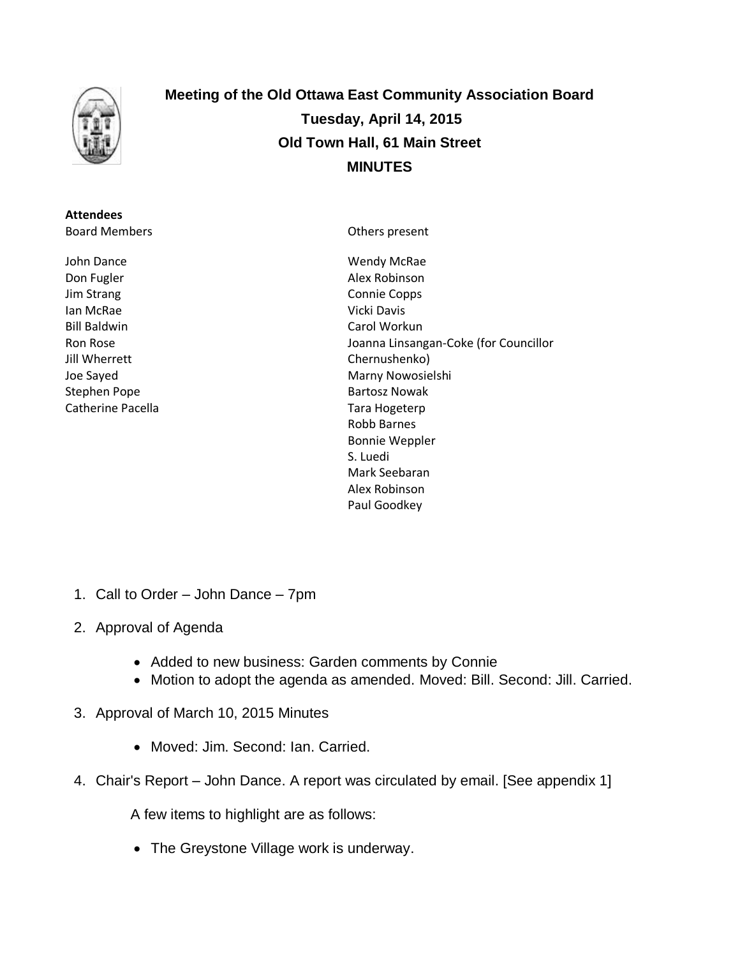

**Attendees** Board Members

John Dance Don Fugler Jim Strang Ian McRae Bill Baldwin Ron Rose Jill Wherrett Joe Sayed Stephen Pope Catherine Pacella **Meeting of the Old Ottawa East Community Association Board Tuesday, April 14, 2015 Old Town Hall, 61 Main Street MINUTES**

Others present

Wendy McRae Alex Robinson Connie Copps Vicki Davis Carol Workun Joanna Linsangan-Coke (for Councillor Chernushenko) Marny Nowosielshi Bartosz Nowak Tara Hogeterp Robb Barnes Bonnie Weppler S. Luedi Mark Seebaran Alex Robinson Paul Goodkey

- 1. Call to Order John Dance 7pm
- 2. Approval of Agenda
	- Added to new business: Garden comments by Connie
	- Motion to adopt the agenda as amended. Moved: Bill. Second: Jill. Carried.
- 3. Approval of March 10, 2015 Minutes
	- Moved: Jim. Second: Ian. Carried.
- 4. Chair's Report John Dance. A report was circulated by email. [See appendix 1]

A few items to highlight are as follows:

• The Greystone Village work is underway.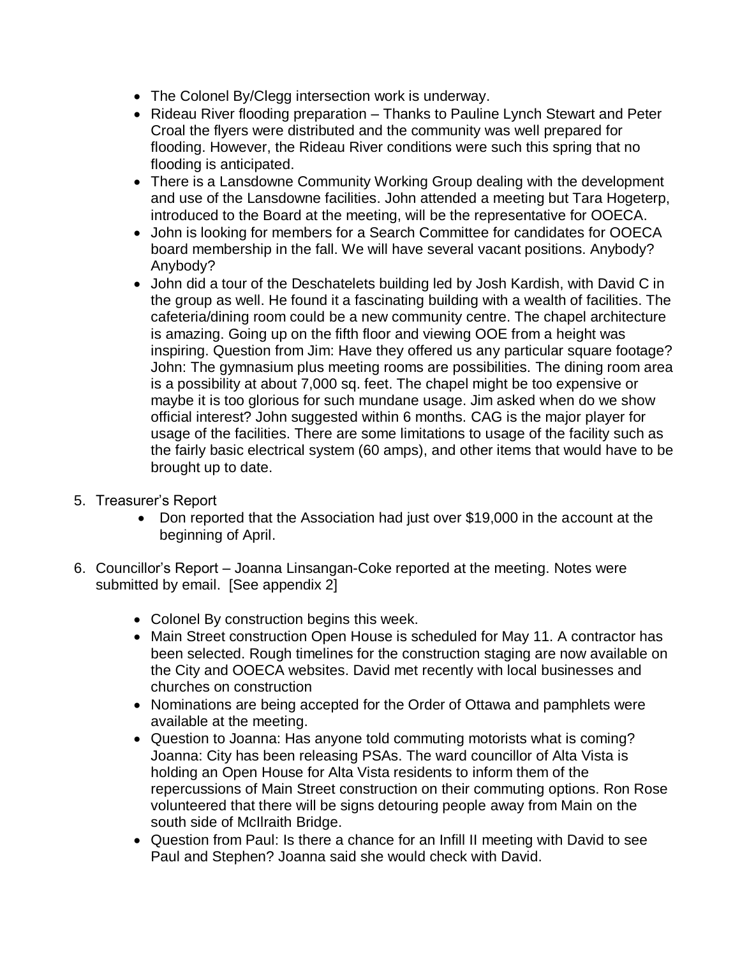- The Colonel By/Clegg intersection work is underway.
- Rideau River flooding preparation Thanks to Pauline Lynch Stewart and Peter Croal the flyers were distributed and the community was well prepared for flooding. However, the Rideau River conditions were such this spring that no flooding is anticipated.
- There is a Lansdowne Community Working Group dealing with the development and use of the Lansdowne facilities. John attended a meeting but Tara Hogeterp, introduced to the Board at the meeting, will be the representative for OOECA.
- John is looking for members for a Search Committee for candidates for OOECA board membership in the fall. We will have several vacant positions. Anybody? Anybody?
- John did a tour of the Deschatelets building led by Josh Kardish, with David C in the group as well. He found it a fascinating building with a wealth of facilities. The cafeteria/dining room could be a new community centre. The chapel architecture is amazing. Going up on the fifth floor and viewing OOE from a height was inspiring. Question from Jim: Have they offered us any particular square footage? John: The gymnasium plus meeting rooms are possibilities. The dining room area is a possibility at about 7,000 sq. feet. The chapel might be too expensive or maybe it is too glorious for such mundane usage. Jim asked when do we show official interest? John suggested within 6 months. CAG is the major player for usage of the facilities. There are some limitations to usage of the facility such as the fairly basic electrical system (60 amps), and other items that would have to be brought up to date.
- 5. Treasurer's Report
	- Don reported that the Association had just over \$19,000 in the account at the beginning of April.
- 6. Councillor's Report Joanna Linsangan-Coke reported at the meeting. Notes were submitted by email. [See appendix 2]
	- Colonel By construction begins this week.
	- Main Street construction Open House is scheduled for May 11. A contractor has been selected. Rough timelines for the construction staging are now available on the City and OOECA websites. David met recently with local businesses and churches on construction
	- Nominations are being accepted for the Order of Ottawa and pamphlets were available at the meeting.
	- Question to Joanna: Has anyone told commuting motorists what is coming? Joanna: City has been releasing PSAs. The ward councillor of Alta Vista is holding an Open House for Alta Vista residents to inform them of the repercussions of Main Street construction on their commuting options. Ron Rose volunteered that there will be signs detouring people away from Main on the south side of McIlraith Bridge.
	- Question from Paul: Is there a chance for an Infill II meeting with David to see Paul and Stephen? Joanna said she would check with David.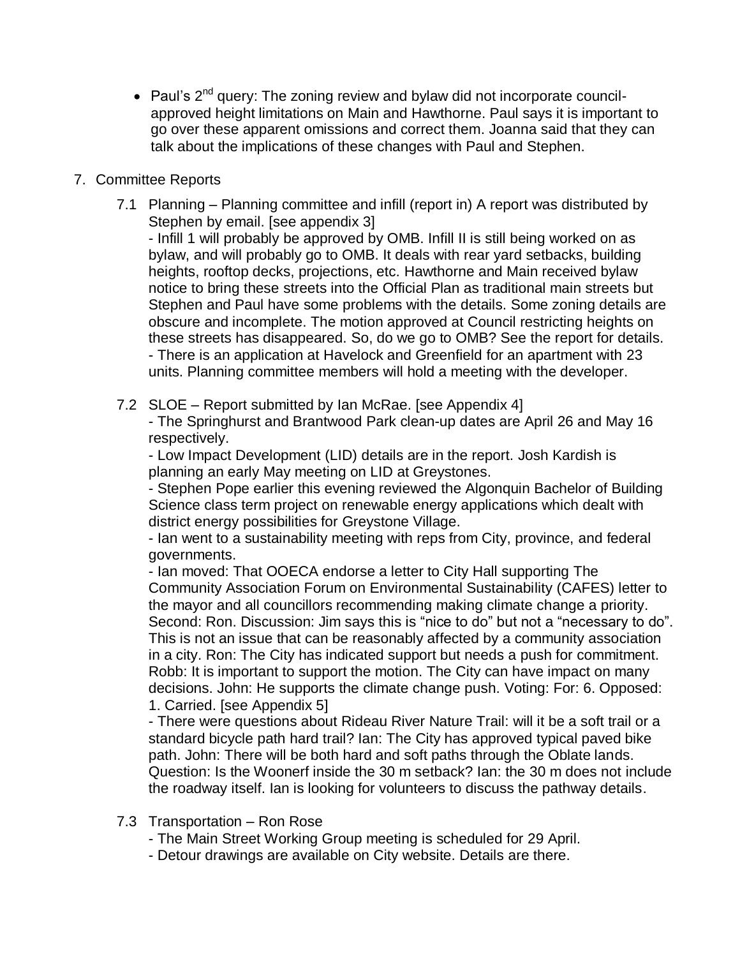• Paul's  $2^{nd}$  query: The zoning review and bylaw did not incorporate councilapproved height limitations on Main and Hawthorne. Paul says it is important to go over these apparent omissions and correct them. Joanna said that they can talk about the implications of these changes with Paul and Stephen.

# 7. Committee Reports

7.1 Planning – Planning committee and infill (report in) A report was distributed by Stephen by email. [see appendix 3]

- Infill 1 will probably be approved by OMB. Infill II is still being worked on as bylaw, and will probably go to OMB. It deals with rear yard setbacks, building heights, rooftop decks, projections, etc. Hawthorne and Main received bylaw notice to bring these streets into the Official Plan as traditional main streets but Stephen and Paul have some problems with the details. Some zoning details are obscure and incomplete. The motion approved at Council restricting heights on these streets has disappeared. So, do we go to OMB? See the report for details. - There is an application at Havelock and Greenfield for an apartment with 23 units. Planning committee members will hold a meeting with the developer.

7.2 SLOE – Report submitted by Ian McRae. [see Appendix 4]

- The Springhurst and Brantwood Park clean-up dates are April 26 and May 16 respectively.

- Low Impact Development (LID) details are in the report. Josh Kardish is planning an early May meeting on LID at Greystones.

- Stephen Pope earlier this evening reviewed the Algonquin Bachelor of Building Science class term project on renewable energy applications which dealt with district energy possibilities for Greystone Village.

- Ian went to a sustainability meeting with reps from City, province, and federal governments.

- Ian moved: That OOECA endorse a letter to City Hall supporting The Community Association Forum on Environmental Sustainability (CAFES) letter to the mayor and all councillors recommending making climate change a priority. Second: Ron. Discussion: Jim says this is "nice to do" but not a "necessary to do". This is not an issue that can be reasonably affected by a community association in a city. Ron: The City has indicated support but needs a push for commitment. Robb: It is important to support the motion. The City can have impact on many decisions. John: He supports the climate change push. Voting: For: 6. Opposed: 1. Carried. [see Appendix 5]

- There were questions about Rideau River Nature Trail: will it be a soft trail or a standard bicycle path hard trail? Ian: The City has approved typical paved bike path. John: There will be both hard and soft paths through the Oblate lands. Question: Is the Woonerf inside the 30 m setback? Ian: the 30 m does not include the roadway itself. Ian is looking for volunteers to discuss the pathway details.

- 7.3 Transportation Ron Rose
	- The Main Street Working Group meeting is scheduled for 29 April.
	- Detour drawings are available on City website. Details are there.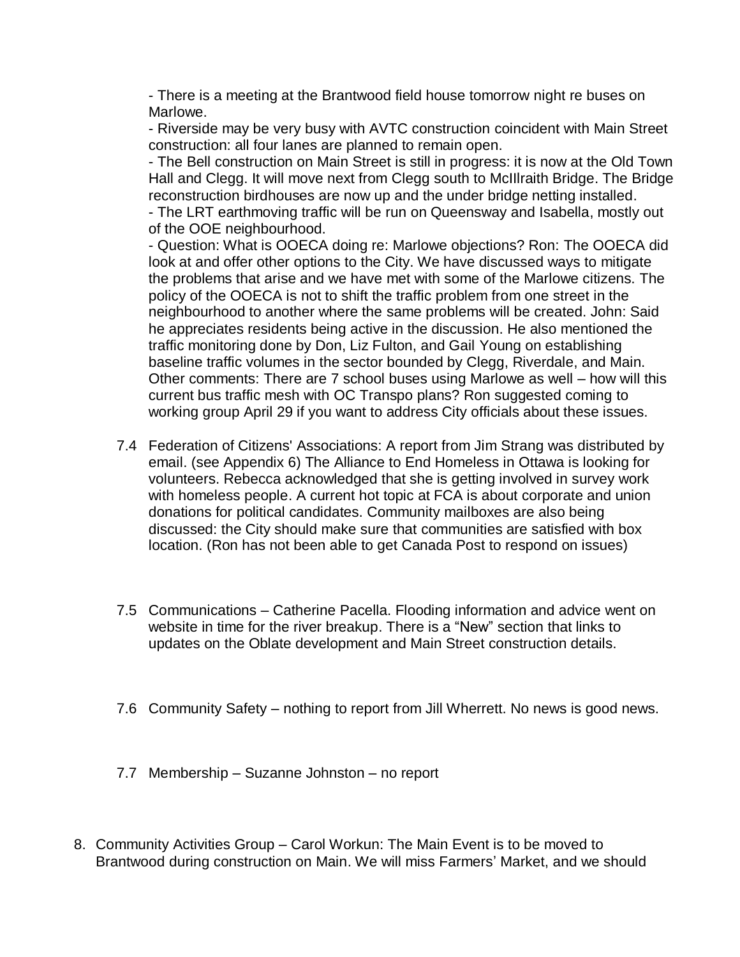- There is a meeting at the Brantwood field house tomorrow night re buses on Marlowe.

- Riverside may be very busy with AVTC construction coincident with Main Street construction: all four lanes are planned to remain open.

- The Bell construction on Main Street is still in progress: it is now at the Old Town Hall and Clegg. It will move next from Clegg south to McIIlraith Bridge. The Bridge reconstruction birdhouses are now up and the under bridge netting installed.

- The LRT earthmoving traffic will be run on Queensway and Isabella, mostly out of the OOE neighbourhood.

- Question: What is OOECA doing re: Marlowe objections? Ron: The OOECA did look at and offer other options to the City. We have discussed ways to mitigate the problems that arise and we have met with some of the Marlowe citizens. The policy of the OOECA is not to shift the traffic problem from one street in the neighbourhood to another where the same problems will be created. John: Said he appreciates residents being active in the discussion. He also mentioned the traffic monitoring done by Don, Liz Fulton, and Gail Young on establishing baseline traffic volumes in the sector bounded by Clegg, Riverdale, and Main. Other comments: There are 7 school buses using Marlowe as well – how will this current bus traffic mesh with OC Transpo plans? Ron suggested coming to working group April 29 if you want to address City officials about these issues.

- 7.4 Federation of Citizens' Associations: A report from Jim Strang was distributed by email. (see Appendix 6) The Alliance to End Homeless in Ottawa is looking for volunteers. Rebecca acknowledged that she is getting involved in survey work with homeless people. A current hot topic at FCA is about corporate and union donations for political candidates. Community mailboxes are also being discussed: the City should make sure that communities are satisfied with box location. (Ron has not been able to get Canada Post to respond on issues)
- 7.5 Communications Catherine Pacella. Flooding information and advice went on website in time for the river breakup. There is a "New" section that links to updates on the Oblate development and Main Street construction details.
- 7.6 Community Safety nothing to report from Jill Wherrett. No news is good news.
- 7.7 Membership Suzanne Johnston no report
- 8. Community Activities Group Carol Workun: The Main Event is to be moved to Brantwood during construction on Main. We will miss Farmers' Market, and we should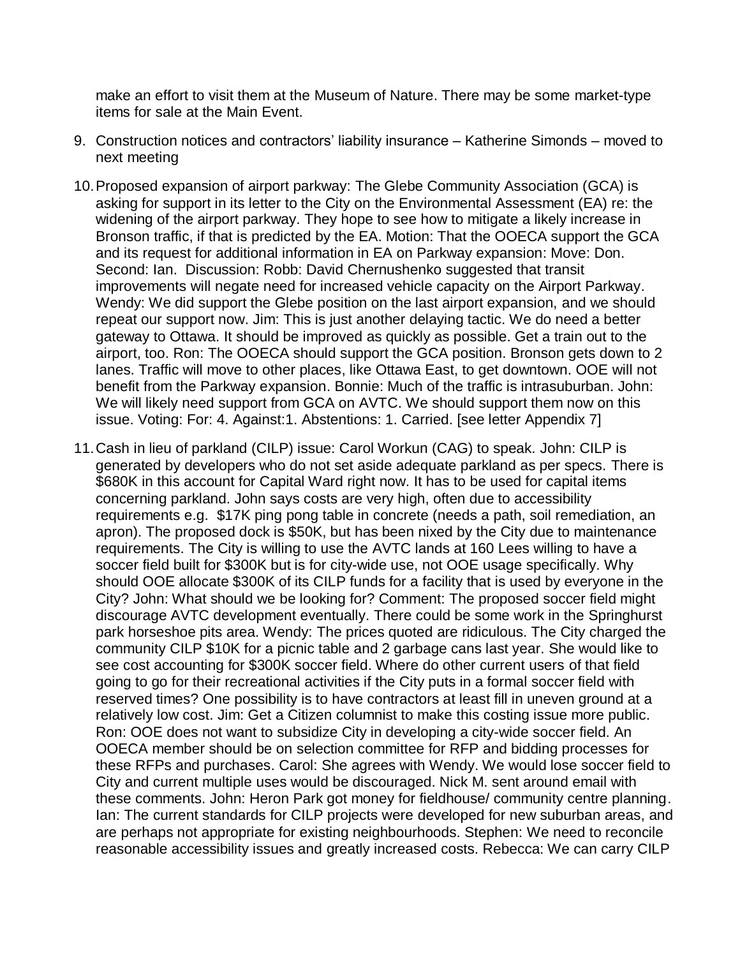make an effort to visit them at the Museum of Nature. There may be some market-type items for sale at the Main Event.

- 9. Construction notices and contractors' liability insurance Katherine Simonds moved to next meeting
- 10.Proposed expansion of airport parkway: The Glebe Community Association (GCA) is asking for support in its letter to the City on the Environmental Assessment (EA) re: the widening of the airport parkway. They hope to see how to mitigate a likely increase in Bronson traffic, if that is predicted by the EA. Motion: That the OOECA support the GCA and its request for additional information in EA on Parkway expansion: Move: Don. Second: Ian. Discussion: Robb: David Chernushenko suggested that transit improvements will negate need for increased vehicle capacity on the Airport Parkway. Wendy: We did support the Glebe position on the last airport expansion, and we should repeat our support now. Jim: This is just another delaying tactic. We do need a better gateway to Ottawa. It should be improved as quickly as possible. Get a train out to the airport, too. Ron: The OOECA should support the GCA position. Bronson gets down to 2 lanes. Traffic will move to other places, like Ottawa East, to get downtown. OOE will not benefit from the Parkway expansion. Bonnie: Much of the traffic is intrasuburban. John: We will likely need support from GCA on AVTC. We should support them now on this issue. Voting: For: 4. Against:1. Abstentions: 1. Carried. [see letter Appendix 7]
- 11.Cash in lieu of parkland (CILP) issue: Carol Workun (CAG) to speak. John: CILP is generated by developers who do not set aside adequate parkland as per specs. There is \$680K in this account for Capital Ward right now. It has to be used for capital items concerning parkland. John says costs are very high, often due to accessibility requirements e.g. \$17K ping pong table in concrete (needs a path, soil remediation, an apron). The proposed dock is \$50K, but has been nixed by the City due to maintenance requirements. The City is willing to use the AVTC lands at 160 Lees willing to have a soccer field built for \$300K but is for city-wide use, not OOE usage specifically. Why should OOE allocate \$300K of its CILP funds for a facility that is used by everyone in the City? John: What should we be looking for? Comment: The proposed soccer field might discourage AVTC development eventually. There could be some work in the Springhurst park horseshoe pits area. Wendy: The prices quoted are ridiculous. The City charged the community CILP \$10K for a picnic table and 2 garbage cans last year. She would like to see cost accounting for \$300K soccer field. Where do other current users of that field going to go for their recreational activities if the City puts in a formal soccer field with reserved times? One possibility is to have contractors at least fill in uneven ground at a relatively low cost. Jim: Get a Citizen columnist to make this costing issue more public. Ron: OOE does not want to subsidize City in developing a city-wide soccer field. An OOECA member should be on selection committee for RFP and bidding processes for these RFPs and purchases. Carol: She agrees with Wendy. We would lose soccer field to City and current multiple uses would be discouraged. Nick M. sent around email with these comments. John: Heron Park got money for fieldhouse/ community centre planning. Ian: The current standards for CILP projects were developed for new suburban areas, and are perhaps not appropriate for existing neighbourhoods. Stephen: We need to reconcile reasonable accessibility issues and greatly increased costs. Rebecca: We can carry CILP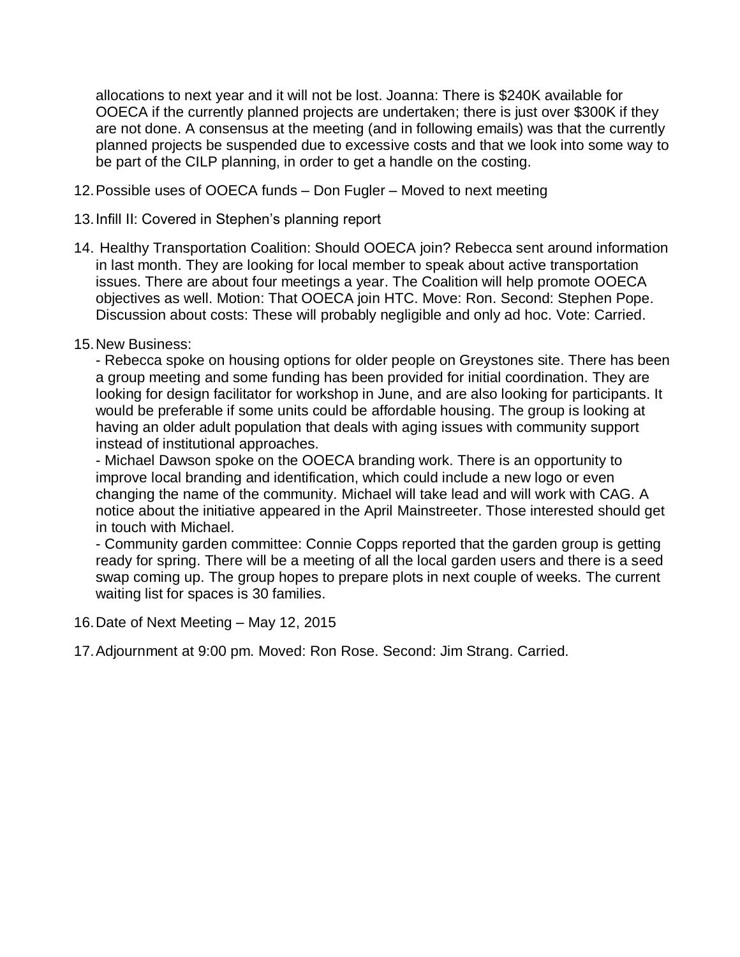allocations to next year and it will not be lost. Joanna: There is \$240K available for OOECA if the currently planned projects are undertaken; there is just over \$300K if they are not done. A consensus at the meeting (and in following emails) was that the currently planned projects be suspended due to excessive costs and that we look into some way to be part of the CILP planning, in order to get a handle on the costing.

- 12.Possible uses of OOECA funds Don Fugler Moved to next meeting
- 13.Infill II: Covered in Stephen's planning report
- 14. Healthy Transportation Coalition: Should OOECA join? Rebecca sent around information in last month. They are looking for local member to speak about active transportation issues. There are about four meetings a year. The Coalition will help promote OOECA objectives as well. Motion: That OOECA join HTC. Move: Ron. Second: Stephen Pope. Discussion about costs: These will probably negligible and only ad hoc. Vote: Carried.
- 15.New Business:

- Rebecca spoke on housing options for older people on Greystones site. There has been a group meeting and some funding has been provided for initial coordination. They are looking for design facilitator for workshop in June, and are also looking for participants. It would be preferable if some units could be affordable housing. The group is looking at having an older adult population that deals with aging issues with community support instead of institutional approaches.

- Michael Dawson spoke on the OOECA branding work. There is an opportunity to improve local branding and identification, which could include a new logo or even changing the name of the community. Michael will take lead and will work with CAG. A notice about the initiative appeared in the April Mainstreeter. Those interested should get in touch with Michael.

- Community garden committee: Connie Copps reported that the garden group is getting ready for spring. There will be a meeting of all the local garden users and there is a seed swap coming up. The group hopes to prepare plots in next couple of weeks. The current waiting list for spaces is 30 families.

16.Date of Next Meeting – May 12, 2015

17.Adjournment at 9:00 pm. Moved: Ron Rose. Second: Jim Strang. Carried.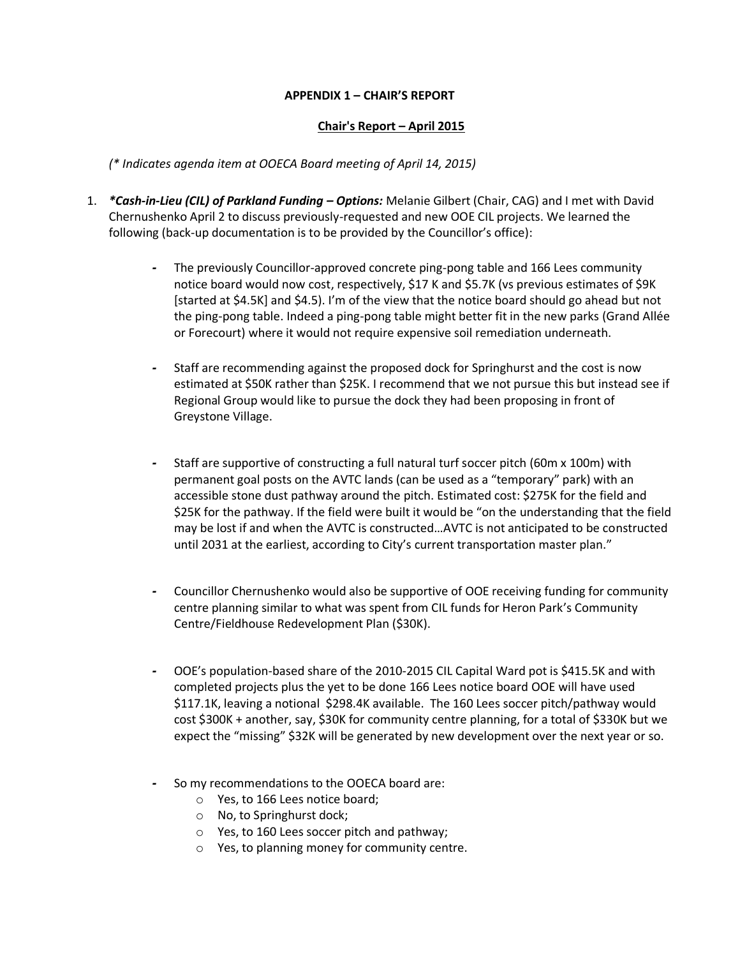### **APPENDIX 1 – CHAIR'S REPORT**

### **Chair's Report – April 2015**

*(\* Indicates agenda item at OOECA Board meeting of April 14, 2015)*

- 1. *\*Cash-in-Lieu (CIL) of Parkland Funding – Options:* Melanie Gilbert (Chair, CAG) and I met with David Chernushenko April 2 to discuss previously-requested and new OOE CIL projects. We learned the following (back-up documentation is to be provided by the Councillor's office):
	- *-* The previously Councillor-approved concrete ping-pong table and 166 Lees community notice board would now cost, respectively, \$17 K and \$5.7K (vs previous estimates of \$9K [started at \$4.5K] and \$4.5). I'm of the view that the notice board should go ahead but not the ping-pong table. Indeed a ping-pong table might better fit in the new parks (Grand Allée or Forecourt) where it would not require expensive soil remediation underneath.
	- *-* Staff are recommending against the proposed dock for Springhurst and the cost is now estimated at \$50K rather than \$25K. I recommend that we not pursue this but instead see if Regional Group would like to pursue the dock they had been proposing in front of Greystone Village.
	- *-* Staff are supportive of constructing a full natural turf soccer pitch (60m x 100m) with permanent goal posts on the AVTC lands (can be used as a "temporary" park) with an accessible stone dust pathway around the pitch. Estimated cost: \$275K for the field and \$25K for the pathway. If the field were built it would be "on the understanding that the field may be lost if and when the AVTC is constructed…AVTC is not anticipated to be constructed until 2031 at the earliest, according to City's current transportation master plan."
	- *-* Councillor Chernushenko would also be supportive of OOE receiving funding for community centre planning similar to what was spent from CIL funds for Heron Park's Community Centre/Fieldhouse Redevelopment Plan (\$30K).
	- *-* OOE's population-based share of the 2010-2015 CIL Capital Ward pot is \$415.5K and with completed projects plus the yet to be done 166 Lees notice board OOE will have used \$117.1K, leaving a notional \$298.4K available. The 160 Lees soccer pitch/pathway would cost \$300K + another, say, \$30K for community centre planning, for a total of \$330K but we expect the "missing" \$32K will be generated by new development over the next year or so.
	- *-* So my recommendations to the OOECA board are:
		- o Yes, to 166 Lees notice board;
		- o No, to Springhurst dock;
		- o Yes, to 160 Lees soccer pitch and pathway;
		- o Yes, to planning money for community centre.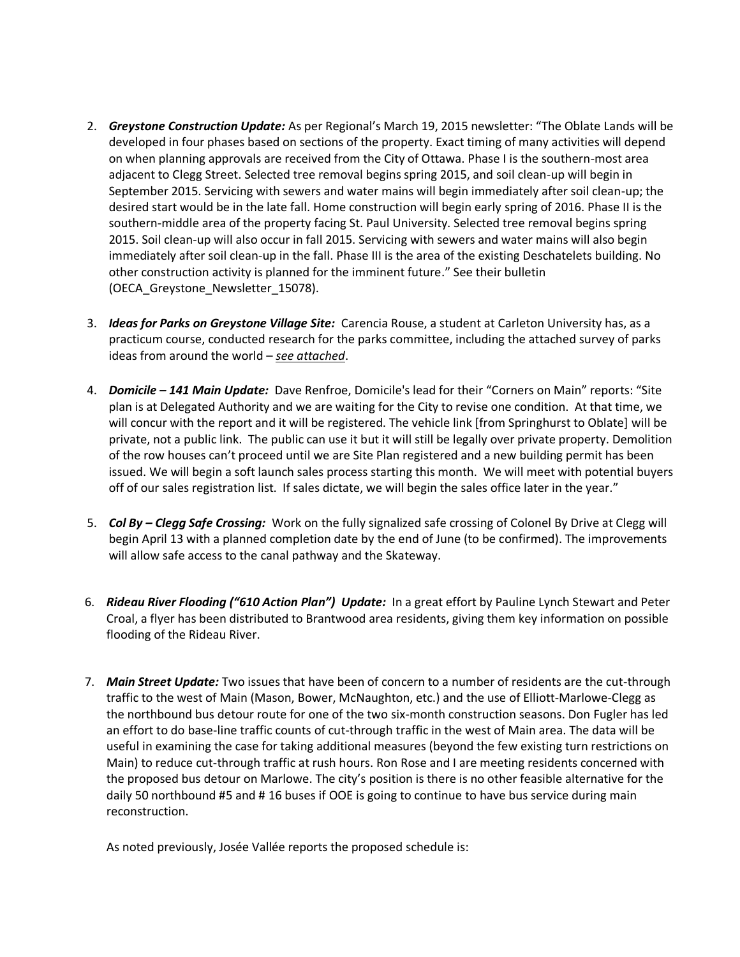- 2. *Greystone Construction Update:* As per Regional's March 19, 2015 newsletter: "The Oblate Lands will be developed in four phases based on sections of the property. Exact timing of many activities will depend on when planning approvals are received from the City of Ottawa. Phase I is the southern-most area adjacent to Clegg Street. Selected tree removal begins spring 2015, and soil clean-up will begin in September 2015. Servicing with sewers and water mains will begin immediately after soil clean-up; the desired start would be in the late fall. Home construction will begin early spring of 2016. Phase II is the southern-middle area of the property facing St. Paul University. Selected tree removal begins spring 2015. Soil clean-up will also occur in fall 2015. Servicing with sewers and water mains will also begin immediately after soil clean-up in the fall. Phase III is the area of the existing Deschatelets building. No other construction activity is planned for the imminent future." See their bulletin (OECA\_Greystone\_Newsletter\_15078).
- 3. *Ideas for Parks on Greystone Village Site:* Carencia Rouse, a student at Carleton University has, as a practicum course, conducted research for the parks committee, including the attached survey of parks ideas from around the world – *see attached*.
- 4. *Domicile – 141 Main Update:* Dave Renfroe, Domicile's lead for their "Corners on Main" reports: "Site plan is at Delegated Authority and we are waiting for the City to revise one condition. At that time, we will concur with the report and it will be registered. The vehicle link [from Springhurst to Oblate] will be private, not a public link. The public can use it but it will still be legally over private property. Demolition of the row houses can't proceed until we are Site Plan registered and a new building permit has been issued. We will begin a soft launch sales process starting this month. We will meet with potential buyers off of our sales registration list. If sales dictate, we will begin the sales office later in the year."
- 5. *Col By – Clegg Safe Crossing:* Work on the fully signalized safe crossing of Colonel By Drive at Clegg will begin April 13 with a planned completion date by the end of June (to be confirmed). The improvements will allow safe access to the canal pathway and the Skateway.
- 6. *Rideau River Flooding ("610 Action Plan") Update:* In a great effort by Pauline Lynch Stewart and Peter Croal, a flyer has been distributed to Brantwood area residents, giving them key information on possible flooding of the Rideau River.
- 7. *Main Street Update:* Two issues that have been of concern to a number of residents are the cut-through traffic to the west of Main (Mason, Bower, McNaughton, etc.) and the use of Elliott-Marlowe-Clegg as the northbound bus detour route for one of the two six-month construction seasons. Don Fugler has led an effort to do base-line traffic counts of cut-through traffic in the west of Main area. The data will be useful in examining the case for taking additional measures (beyond the few existing turn restrictions on Main) to reduce cut-through traffic at rush hours. Ron Rose and I are meeting residents concerned with the proposed bus detour on Marlowe. The city's position is there is no other feasible alternative for the daily 50 northbound #5 and # 16 buses if OOE is going to continue to have bus service during main reconstruction.

As noted previously, Josée Vallée reports the proposed schedule is: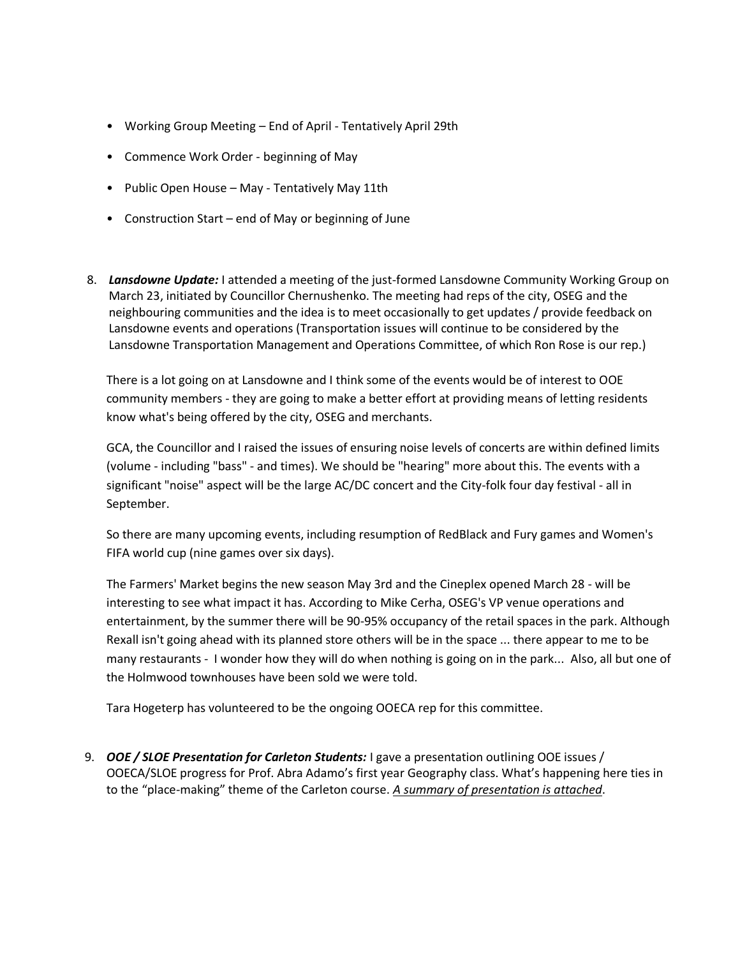- Working Group Meeting End of April Tentatively April 29th
- Commence Work Order beginning of May
- Public Open House May Tentatively May 11th
- Construction Start end of May or beginning of June
- 8. *Lansdowne Update:* I attended a meeting of the just-formed Lansdowne Community Working Group on March 23, initiated by Councillor Chernushenko. The meeting had reps of the city, OSEG and the neighbouring communities and the idea is to meet occasionally to get updates / provide feedback on Lansdowne events and operations (Transportation issues will continue to be considered by the Lansdowne Transportation Management and Operations Committee, of which Ron Rose is our rep.)

There is a lot going on at Lansdowne and I think some of the events would be of interest to OOE community members - they are going to make a better effort at providing means of letting residents know what's being offered by the city, OSEG and merchants.

GCA, the Councillor and I raised the issues of ensuring noise levels of concerts are within defined limits (volume - including "bass" - and times). We should be "hearing" more about this. The events with a significant "noise" aspect will be the large AC/DC concert and the City-folk four day festival - all in September.

So there are many upcoming events, including resumption of RedBlack and Fury games and Women's FIFA world cup (nine games over six days).

The Farmers' Market begins the new season May 3rd and the Cineplex opened March 28 - will be interesting to see what impact it has. According to Mike Cerha, OSEG's VP venue operations and entertainment, by the summer there will be 90-95% occupancy of the retail spaces in the park. Although Rexall isn't going ahead with its planned store others will be in the space ... there appear to me to be many restaurants - I wonder how they will do when nothing is going on in the park... Also, all but one of the Holmwood townhouses have been sold we were told.

Tara Hogeterp has volunteered to be the ongoing OOECA rep for this committee.

9. *OOE / SLOE Presentation for Carleton Students:* I gave a presentation outlining OOE issues / OOECA/SLOE progress for Prof. Abra Adamo's first year Geography class. What's happening here ties in to the "place-making" theme of the Carleton course. *A summary of presentation is attached*.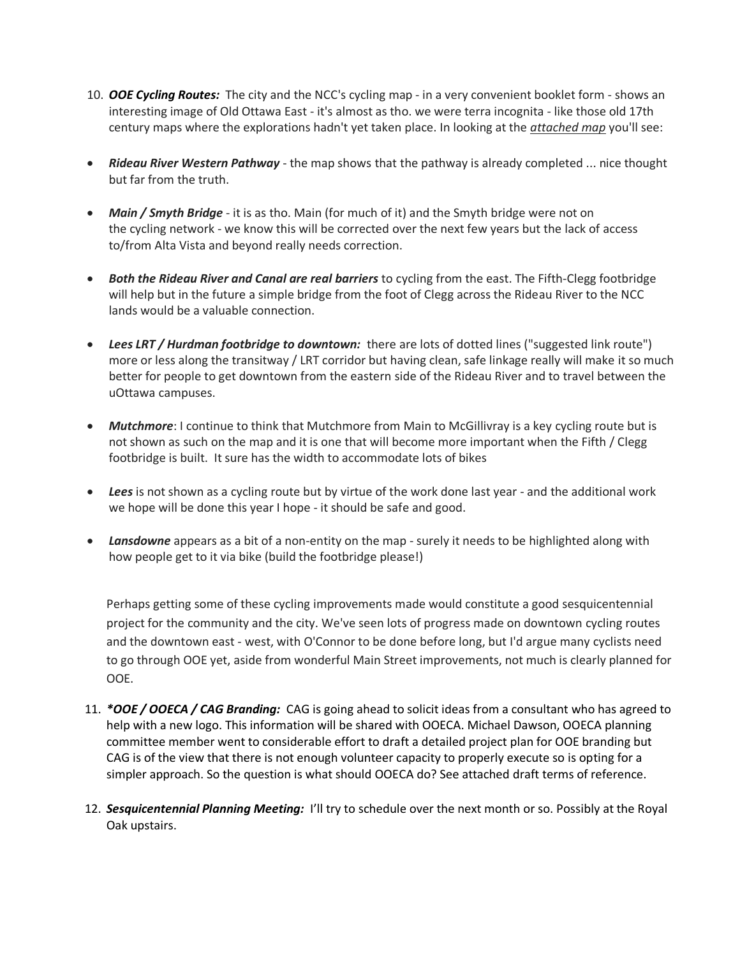- 10. *OOE Cycling Routes:* The city and the NCC's cycling map in a very convenient booklet form shows an interesting image of Old Ottawa East - it's almost as tho. we were terra incognita - like those old 17th century maps where the explorations hadn't yet taken place. In looking at the *attached map* you'll see:
- *Rideau River Western Pathway* the map shows that the pathway is already completed ... nice thought but far from the truth.
- *Main / Smyth Bridge* it is as tho. Main (for much of it) and the Smyth bridge were not on the cycling network - we know this will be corrected over the next few years but the lack of access to/from Alta Vista and beyond really needs correction.
- *Both the Rideau River and Canal are real barriers* to cycling from the east. The Fifth-Clegg footbridge will help but in the future a simple bridge from the foot of Clegg across the Rideau River to the NCC lands would be a valuable connection.
- *Lees LRT / Hurdman footbridge to downtown:* there are lots of dotted lines ("suggested link route") more or less along the transitway / LRT corridor but having clean, safe linkage really will make it so much better for people to get downtown from the eastern side of the Rideau River and to travel between the uOttawa campuses.
- *Mutchmore*: I continue to think that Mutchmore from Main to McGillivray is a key cycling route but is not shown as such on the map and it is one that will become more important when the Fifth / Clegg footbridge is built. It sure has the width to accommodate lots of bikes
- *Lees* is not shown as a cycling route but by virtue of the work done last year and the additional work we hope will be done this year I hope - it should be safe and good.
- *Lansdowne* appears as a bit of a non-entity on the map surely it needs to be highlighted along with how people get to it via bike (build the footbridge please!)

Perhaps getting some of these cycling improvements made would constitute a good sesquicentennial project for the community and the city. We've seen lots of progress made on downtown cycling routes and the downtown east - west, with O'Connor to be done before long, but I'd argue many cyclists need to go through OOE yet, aside from wonderful Main Street improvements, not much is clearly planned for OOE.

- 11. *\*OOE / OOECA / CAG Branding:* CAG is going ahead to solicit ideas from a consultant who has agreed to help with a new logo. This information will be shared with OOECA. Michael Dawson, OOECA planning committee member went to considerable effort to draft a detailed project plan for OOE branding but CAG is of the view that there is not enough volunteer capacity to properly execute so is opting for a simpler approach. So the question is what should OOECA do? See attached draft terms of reference.
- 12. *Sesquicentennial Planning Meeting:* I'll try to schedule over the next month or so. Possibly at the Royal Oak upstairs.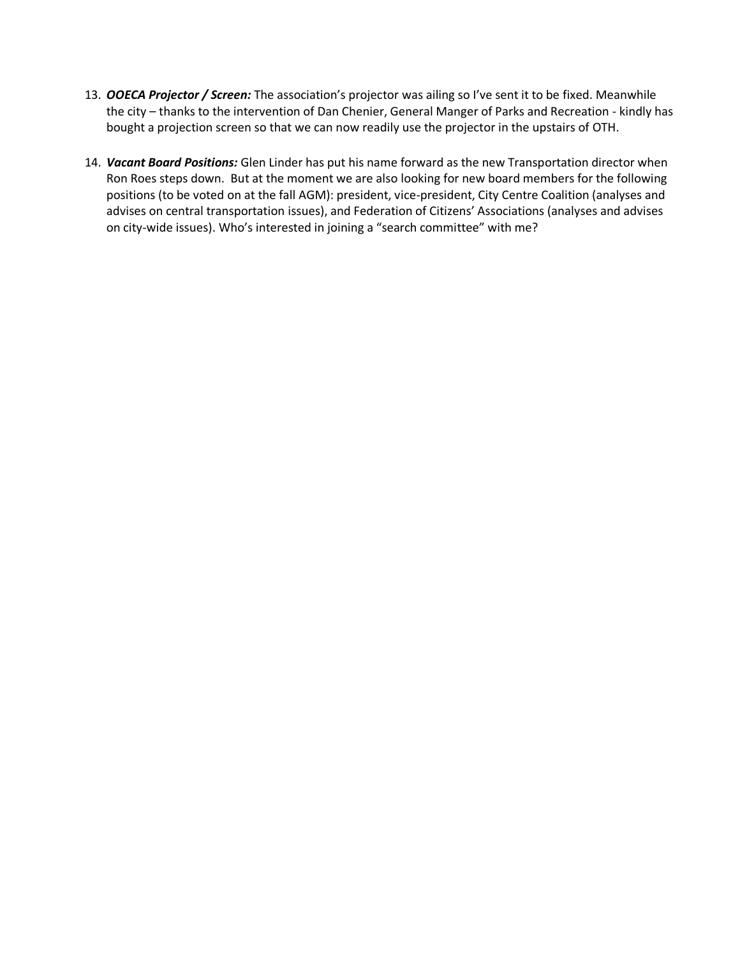- 13. *OOECA Projector / Screen:* The association's projector was ailing so I've sent it to be fixed. Meanwhile the city – thanks to the intervention of Dan Chenier, General Manger of Parks and Recreation - kindly has bought a projection screen so that we can now readily use the projector in the upstairs of OTH.
- 14. *Vacant Board Positions:* Glen Linder has put his name forward as the new Transportation director when Ron Roes steps down. But at the moment we are also looking for new board members for the following positions (to be voted on at the fall AGM): president, vice-president, City Centre Coalition (analyses and advises on central transportation issues), and Federation of Citizens' Associations (analyses and advises on city-wide issues). Who's interested in joining a "search committee" with me?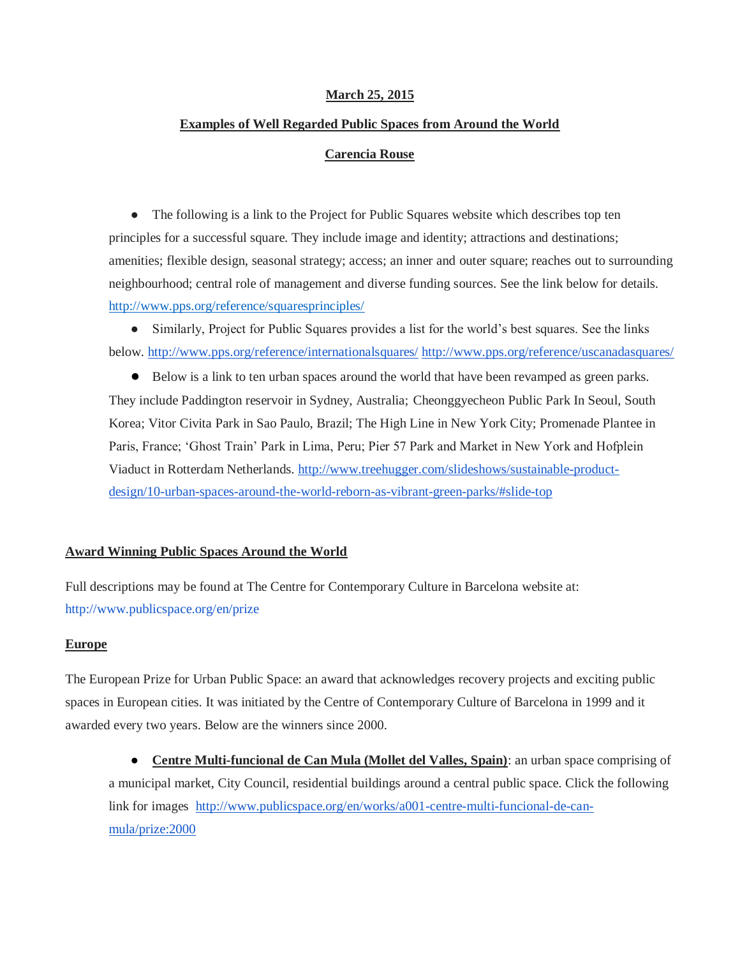#### **March 25, 2015**

# **Examples of Well Regarded Public Spaces from Around the World**

#### **Carencia Rouse**

• The following is a link to the Project for Public Squares website which describes top ten principles for a successful square. They include image and identity; attractions and destinations; amenities; flexible design, seasonal strategy; access; an inner and outer square; reaches out to surrounding neighbourhood; central role of management and diverse funding sources. See the link below for details. <http://www.pps.org/reference/squaresprinciples/>

• Similarly, Project for Public Squares provides a list for the world's best squares. See the links below.<http://www.pps.org/reference/internationalsquares/> <http://www.pps.org/reference/uscanadasquares/>

● Below is a link to ten urban spaces around the world that have been revamped as green parks. They include Paddington reservoir in Sydney, Australia; Cheonggyecheon Public Park In Seoul, South Korea; Vitor Civita Park in Sao Paulo, Brazil; The High Line in New York City; Promenade Plantee in Paris, France; 'Ghost Train' Park in Lima, Peru; Pier 57 Park and Market in New York and Hofplein Viaduct in Rotterdam Netherlands. [http://www.treehugger.com/slideshows/sustainable-product](http://www.treehugger.com/slideshows/sustainable-product-design/10-urban-spaces-around-the-world-reborn-as-vibrant-green-parks/#slide-top)[design/10-urban-spaces-around-the-world-reborn-as-vibrant-green-parks/#slide-top](http://www.treehugger.com/slideshows/sustainable-product-design/10-urban-spaces-around-the-world-reborn-as-vibrant-green-parks/#slide-top)

#### **Award Winning Public Spaces Around the World**

Full descriptions may be found at The Centre for Contemporary Culture in Barcelona website at: <http://www.publicspace.org/en/prize>

#### **Europe**

The European Prize for Urban Public Space: an award that acknowledges recovery projects and exciting public spaces in European cities. It was initiated by the Centre of Contemporary Culture of Barcelona in 1999 and it awarded every two years. Below are the winners since 2000.

● **Centre Multi-funcional de Can Mula (Mollet del Valles, Spain)**: an urban space comprising of a municipal market, City Council, residential buildings around a central public space. Click the following link for images [http://www.publicspace.org/en/works/a001-centre-multi-funcional-de-can](http://www.publicspace.org/en/works/a001-centre-multi-funcional-de-can-mula/prize:2000)[mula/prize:2000](http://www.publicspace.org/en/works/a001-centre-multi-funcional-de-can-mula/prize:2000)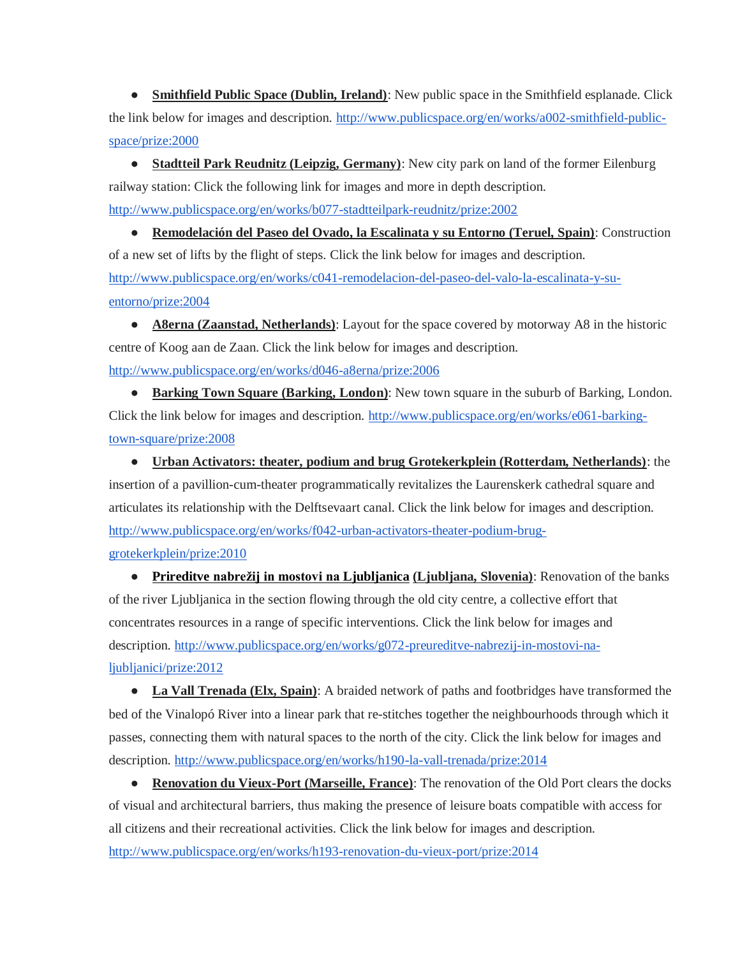● **Smithfield Public Space (Dublin, Ireland)**: New public space in the Smithfield esplanade. Click the link below for images and description. [http://www.publicspace.org/en/works/a002-smithfield-public](http://www.publicspace.org/en/works/a002-smithfield-public-space/prize:2000)[space/prize:2000](http://www.publicspace.org/en/works/a002-smithfield-public-space/prize:2000)

● **Stadtteil Park Reudnitz (Leipzig, Germany)**: New city park on land of the former Eilenburg railway station: Click the following link for images and more in depth description. <http://www.publicspace.org/en/works/b077-stadtteilpark-reudnitz/prize:2002>

● **Remodelación del Paseo del Ovado, la Escalinata y su Entorno (Teruel, Spain)**: Construction of a new set of lifts by the flight of steps. Click the link below for images and description. [http://www.publicspace.org/en/works/c041-remodelacion-del-paseo-del-valo-la-escalinata-y-su](http://www.publicspace.org/en/works/c041-remodelacion-del-paseo-del-valo-la-escalinata-y-su-entorno/prize:2004)[entorno/prize:2004](http://www.publicspace.org/en/works/c041-remodelacion-del-paseo-del-valo-la-escalinata-y-su-entorno/prize:2004)

• **A8erna (Zaanstad, Netherlands)**: Layout for the space covered by motorway A8 in the historic centre of Koog aan de Zaan. Click the link below for images and description. <http://www.publicspace.org/en/works/d046-a8erna/prize:2006>

● **Barking Town Square (Barking, London)**: New town square in the suburb of Barking, London. Click the link below for images and description. [http://www.publicspace.org/en/works/e061-barking](http://www.publicspace.org/en/works/e061-barking-town-square/prize:2008)[town-square/prize:2008](http://www.publicspace.org/en/works/e061-barking-town-square/prize:2008)

● **Urban Activators: theater, podium and brug Grotekerkplein (Rotterdam, Netherlands)**: the insertion of a pavillion-cum-theater programmatically revitalizes the Laurenskerk cathedral square and articulates its relationship with the Delftsevaart canal. Click the link below for images and description. [http://www.publicspace.org/en/works/f042-urban-activators-theater-podium-brug](http://www.publicspace.org/en/works/f042-urban-activators-theater-podium-brug-grotekerkplein/prize:2010)[grotekerkplein/prize:2010](http://www.publicspace.org/en/works/f042-urban-activators-theater-podium-brug-grotekerkplein/prize:2010)

● **[Prireditve](http://www.google.com/url?q=http%3A%2F%2Fwww.publicspace.org%2Fen%2Fworks%2Fg072-preureditve-nabrezij-in-mostovi-na-ljubljanici%2Fprize%3A2012&sa=D&sntz=1&usg=AFQjCNE_QF0mEYBVIRZa6_I-fzSx1T-wVA) [nabrežij in mostovi na Ljubljanica](http://www.google.com/url?q=http%3A%2F%2Fwww.publicspace.org%2Fen%2Fworks%2Fg072-preureditve-nabrezij-in-mostovi-na-ljubljanici%2Fprize%3A2012&sa=D&sntz=1&usg=AFQjCNE_QF0mEYBVIRZa6_I-fzSx1T-wVA) (Ljubljana, Slovenia)**: Renovation of the banks of the river Ljubljanica in the section flowing through the old city centre, a collective effort that concentrates resources in a range of specific interventions. Click the link below for images and description. [http://www.publicspace.org/en/works/g072-preureditve-nabrezij-in-mostovi-na](http://www.publicspace.org/en/works/g072-preureditve-nabrezij-in-mostovi-na-ljubljanici/prize:2012)[ljubljanici/prize:2012](http://www.publicspace.org/en/works/g072-preureditve-nabrezij-in-mostovi-na-ljubljanici/prize:2012)

• La Vall Trenada (Elx, Spain): A braided network of paths and footbridges have transformed the bed of the Vinalopó River into a linear park that re-stitches together the neighbourhoods through which it passes, connecting them with natural spaces to the north of the city. Click the link below for images and description.<http://www.publicspace.org/en/works/h190-la-vall-trenada/prize:2014>

● **Renovation du Vieux-Port (Marseille, France)**: The renovation of the Old Port clears the docks of visual and architectural barriers, thus making the presence of leisure boats compatible with access for all citizens and their recreational activities. Click the link below for images and description. <http://www.publicspace.org/en/works/h193-renovation-du-vieux-port/prize:2014>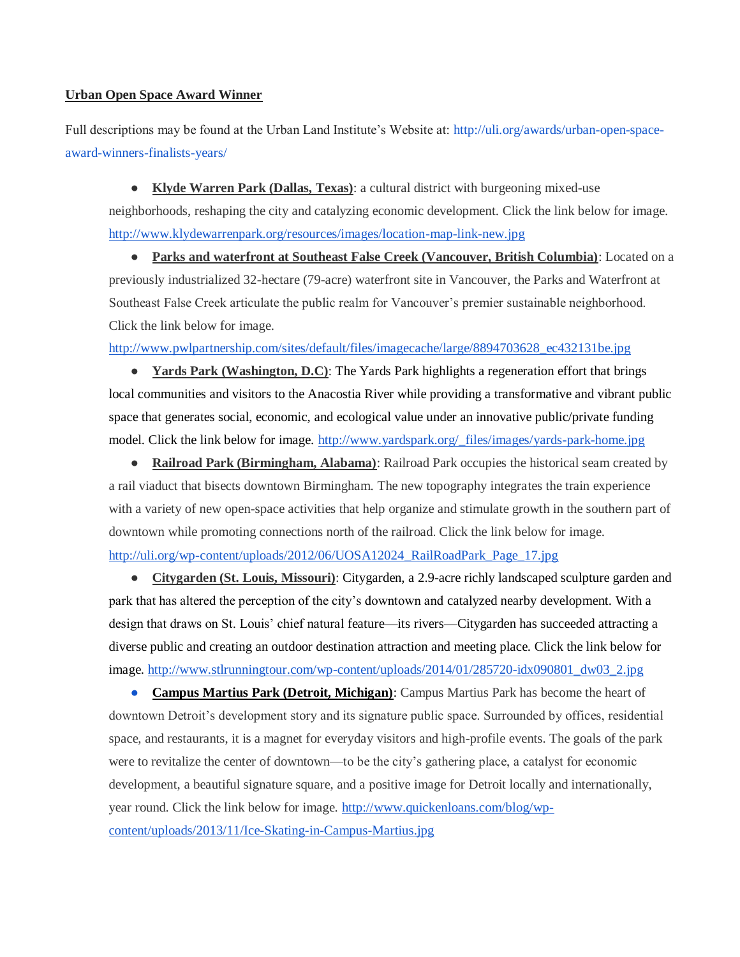### **Urban Open Space Award Winner**

Full descriptions may be found at the Urban Land Institute's Website at: [http://uli.org/awards/urban-open-space](http://uli.org/awards/urban-open-space-award-winners-finalists-years/)[award-winners-finalists-years/](http://uli.org/awards/urban-open-space-award-winners-finalists-years/)

● **Klyde Warren Park (Dallas, Texas)**: a cultural district with burgeoning mixed-use neighborhoods, reshaping the city and catalyzing economic development. Click the link below for image. <http://www.klydewarrenpark.org/resources/images/location-map-link-new.jpg>

● **Parks and waterfront at Southeast False Creek (Vancouver, British Columbia)**: Located on a previously industrialized 32-hectare (79-acre) waterfront site in Vancouver, the Parks and Waterfront at Southeast False Creek articulate the public realm for Vancouver's premier sustainable neighborhood. Click the link below for image.

[http://www.pwlpartnership.com/sites/default/files/imagecache/large/8894703628\\_ec432131be.jpg](http://www.pwlpartnership.com/sites/default/files/imagecache/large/8894703628_ec432131be.jpg)

● **Yards Park (Washington, D.C)**: The [Yards Park](http://www.yardspark.org/) highlights a regeneration effort that brings local communities and visitors to the Anacostia River while providing a transformative and vibrant public space that generates social, economic, and ecological value under an innovative public/private funding model. Click the link below for image. [http://www.yardspark.org/\\_files/images/yards-park-home.jpg](http://www.yardspark.org/_files/images/yards-park-home.jpg)

● **Railroad Park (Birmingham, Alabama)**: Railroad Park occupies the historical seam created by a rail viaduct that bisects downtown Birmingham. The new topography integrates the train experience with a variety of new open-space activities that help organize and stimulate growth in the southern part of downtown while promoting connections north of the railroad. Click the link below for image. [http://uli.org/wp-content/uploads/2012/06/UOSA12024\\_RailRoadPark\\_Page\\_17.jpg](http://uli.org/wp-content/uploads/2012/06/UOSA12024_RailRoadPark_Page_17.jpg)

● **Citygarden (St. Louis, Missouri)**: [Citygarden,](http://citygardenstl.org/) a 2.9-acre richly landscaped sculpture garden and park that has altered the perception of the city's downtown and [catalyzed nearby development.](http://www.nytimes.com/2009/07/05/arts/design/05close.html?_r=1) With a design that draws on St. Louis' chief natural feature—its rivers—Citygarden has succeeded attracting a diverse public and creating [an outdoor destination attraction](http://www.metropolismag.com/story/20091118/spirit-of-st-louis) and meeting place. Click the link below for image. [http://www.stlrunningtour.com/wp-content/uploads/2014/01/285720-idx090801\\_dw03\\_2.jpg](http://www.stlrunningtour.com/wp-content/uploads/2014/01/285720-idx090801_dw03_2.jpg)

**Campus Martius Park (Detroit, Michigan)**: Campus Martius Park has become the heart of downtown Detroit's development story and its signature public space. Surrounded by offices, residential space, and restaurants, it is a magnet for everyday visitors and high-profile events. The goals of the park were to revitalize the center of downtown—to be the city's gathering place, a catalyst for economic development, a beautiful signature square, and a positive image for Detroit locally and internationally, year round. Click the link below for image. [http://www.quickenloans.com/blog/wp](http://www.quickenloans.com/blog/wp-content/uploads/2013/11/Ice-Skating-in-Campus-Martius.jpg)[content/uploads/2013/11/Ice-Skating-in-Campus-Martius.jpg](http://www.quickenloans.com/blog/wp-content/uploads/2013/11/Ice-Skating-in-Campus-Martius.jpg)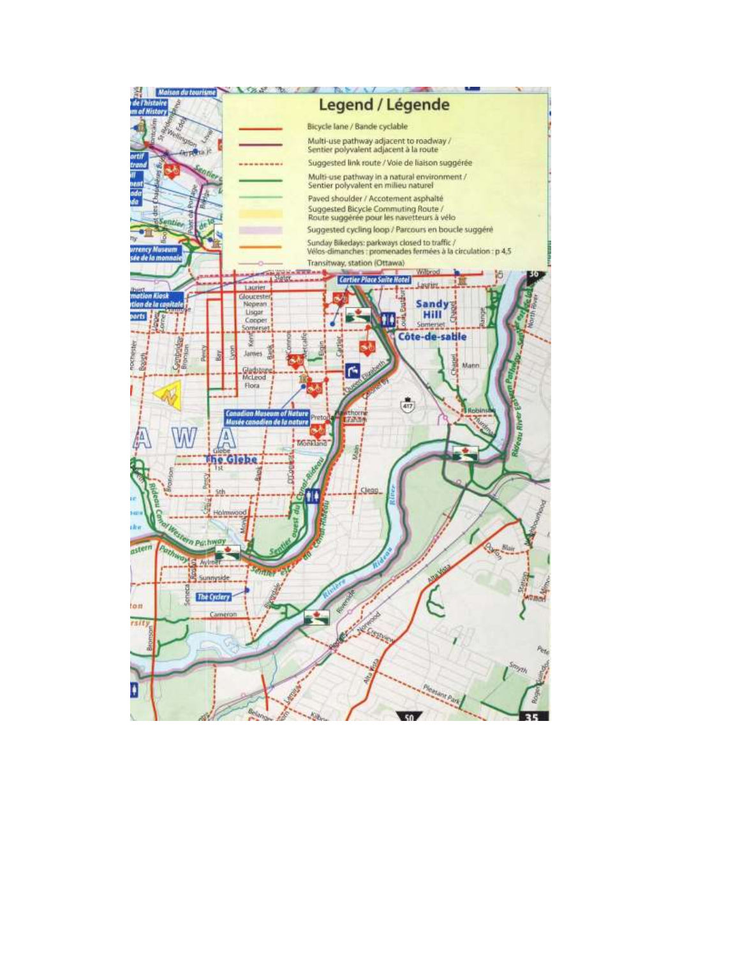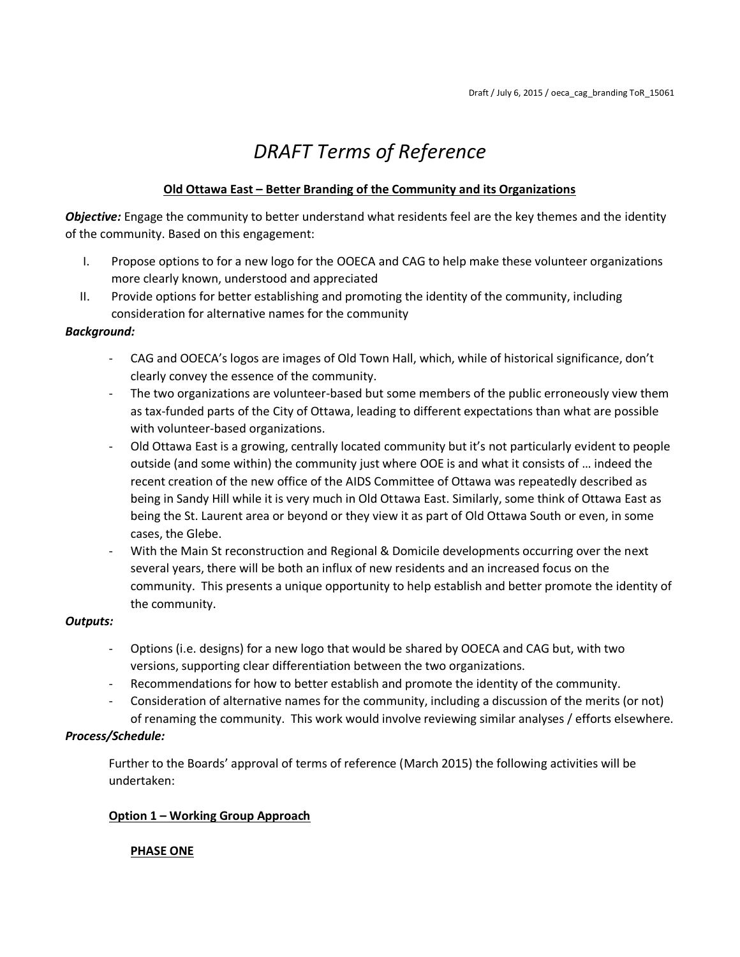# *DRAFT Terms of Reference*

## **Old Ottawa East – Better Branding of the Community and its Organizations**

*Objective:* Engage the community to better understand what residents feel are the key themes and the identity of the community. Based on this engagement:

- I. Propose options to for a new logo for the OOECA and CAG to help make these volunteer organizations more clearly known, understood and appreciated
- II. Provide options for better establishing and promoting the identity of the community, including consideration for alternative names for the community

## *Background:*

- CAG and OOECA's logos are images of Old Town Hall, which, while of historical significance, don't clearly convey the essence of the community.
- The two organizations are volunteer-based but some members of the public erroneously view them as tax-funded parts of the City of Ottawa, leading to different expectations than what are possible with volunteer-based organizations.
- Old Ottawa East is a growing, centrally located community but it's not particularly evident to people outside (and some within) the community just where OOE is and what it consists of … indeed the recent creation of the new office of the AIDS Committee of Ottawa was repeatedly described as being in Sandy Hill while it is very much in Old Ottawa East. Similarly, some think of Ottawa East as being the St. Laurent area or beyond or they view it as part of Old Ottawa South or even, in some cases, the Glebe.
- With the Main St reconstruction and Regional & Domicile developments occurring over the next several years, there will be both an influx of new residents and an increased focus on the community. This presents a unique opportunity to help establish and better promote the identity of the community.

## *Outputs:*

- Options (i.e. designs) for a new logo that would be shared by OOECA and CAG but, with two versions, supporting clear differentiation between the two organizations.
- Recommendations for how to better establish and promote the identity of the community.
- Consideration of alternative names for the community, including a discussion of the merits (or not) of renaming the community. This work would involve reviewing similar analyses / efforts elsewhere.

## *Process/Schedule:*

Further to the Boards' approval of terms of reference (March 2015) the following activities will be undertaken:

## **Option 1 – Working Group Approach**

## **PHASE ONE**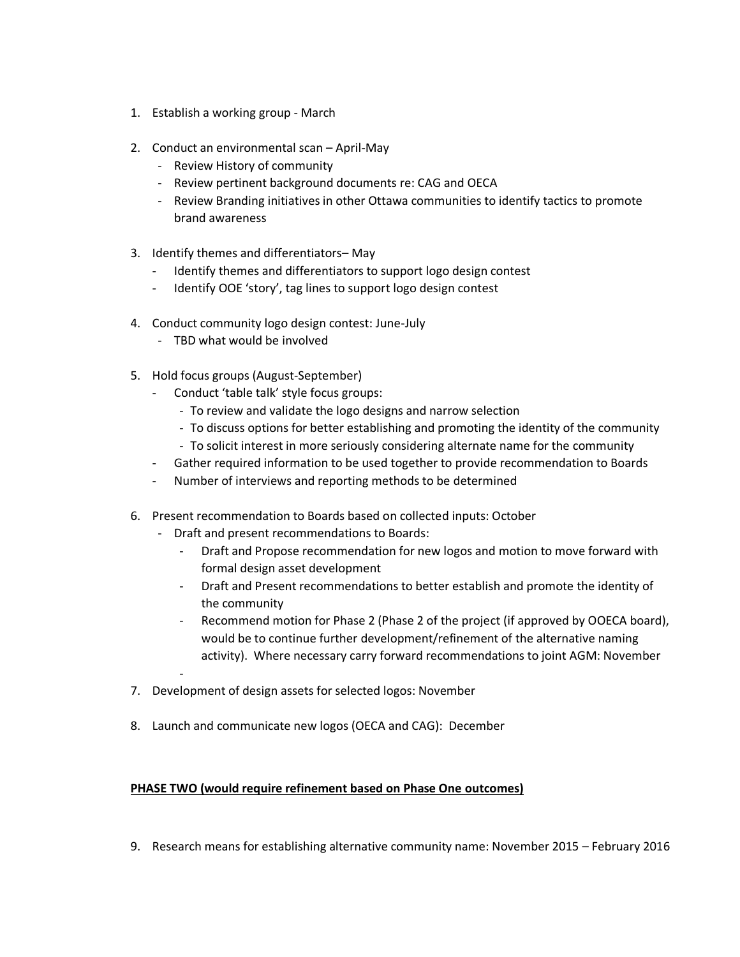- 1. Establish a working group March
- 2. Conduct an environmental scan April-May
	- Review History of community
	- Review pertinent background documents re: CAG and OECA
	- Review Branding initiatives in other Ottawa communities to identify tactics to promote brand awareness
- 3. Identify themes and differentiators– May
	- Identify themes and differentiators to support logo design contest
	- Identify OOE 'story', tag lines to support logo design contest
- 4. Conduct community logo design contest: June-July
	- TBD what would be involved
- 5. Hold focus groups (August-September)
	- Conduct 'table talk' style focus groups:
		- To review and validate the logo designs and narrow selection
		- To discuss options for better establishing and promoting the identity of the community
		- To solicit interest in more seriously considering alternate name for the community
	- Gather required information to be used together to provide recommendation to Boards
	- Number of interviews and reporting methods to be determined
- 6. Present recommendation to Boards based on collected inputs: October
	- Draft and present recommendations to Boards:
		- Draft and Propose recommendation for new logos and motion to move forward with formal design asset development
		- Draft and Present recommendations to better establish and promote the identity of the community
		- Recommend motion for Phase 2 (Phase 2 of the project (if approved by OOECA board), would be to continue further development/refinement of the alternative naming activity). Where necessary carry forward recommendations to joint AGM: November
- 7. Development of design assets for selected logos: November
- 8. Launch and communicate new logos (OECA and CAG): December

### **PHASE TWO (would require refinement based on Phase One outcomes)**

9. Research means for establishing alternative community name: November 2015 – February 2016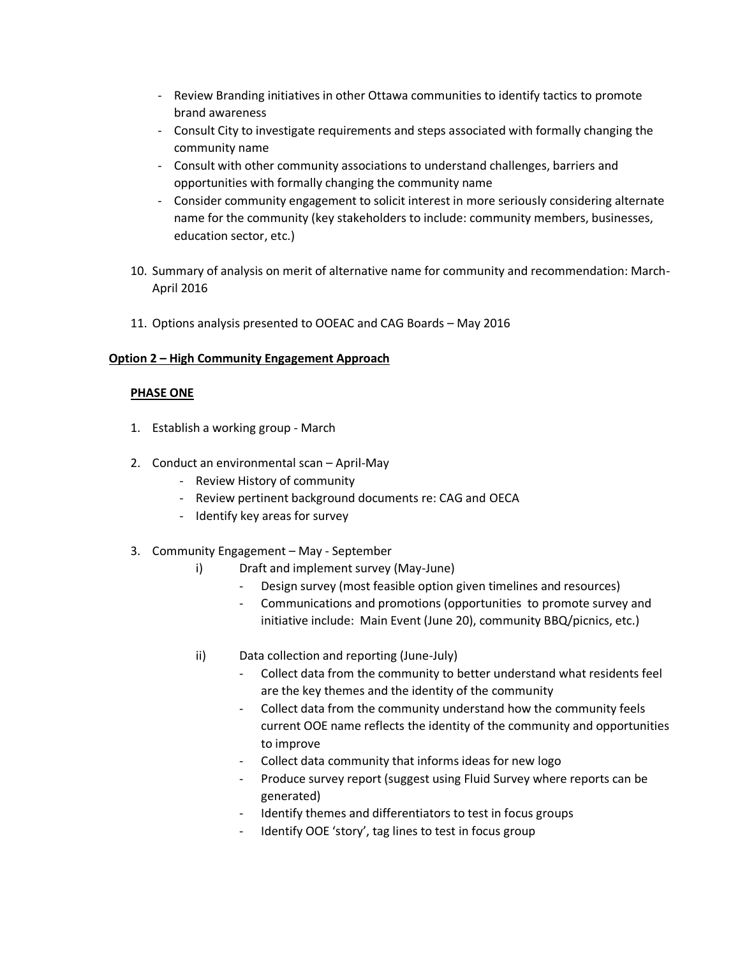- Review Branding initiatives in other Ottawa communities to identify tactics to promote brand awareness
- Consult City to investigate requirements and steps associated with formally changing the community name
- Consult with other community associations to understand challenges, barriers and opportunities with formally changing the community name
- Consider community engagement to solicit interest in more seriously considering alternate name for the community (key stakeholders to include: community members, businesses, education sector, etc.)
- 10. Summary of analysis on merit of alternative name for community and recommendation: March-April 2016
- 11. Options analysis presented to OOEAC and CAG Boards May 2016

### **Option 2 – High Community Engagement Approach**

### **PHASE ONE**

- 1. Establish a working group March
- 2. Conduct an environmental scan April-May
	- Review History of community
	- Review pertinent background documents re: CAG and OECA
	- Identify key areas for survey
- 3. Community Engagement May September
	- i) Draft and implement survey (May-June)
		- Design survey (most feasible option given timelines and resources)
		- Communications and promotions (opportunities to promote survey and initiative include: Main Event (June 20), community BBQ/picnics, etc.)
	- ii) Data collection and reporting (June-July)
		- Collect data from the community to better understand what residents feel are the key themes and the identity of the community
		- Collect data from the community understand how the community feels current OOE name reflects the identity of the community and opportunities to improve
		- Collect data community that informs ideas for new logo
		- Produce survey report (suggest using Fluid Survey where reports can be generated)
		- Identify themes and differentiators to test in focus groups
		- Identify OOE 'story', tag lines to test in focus group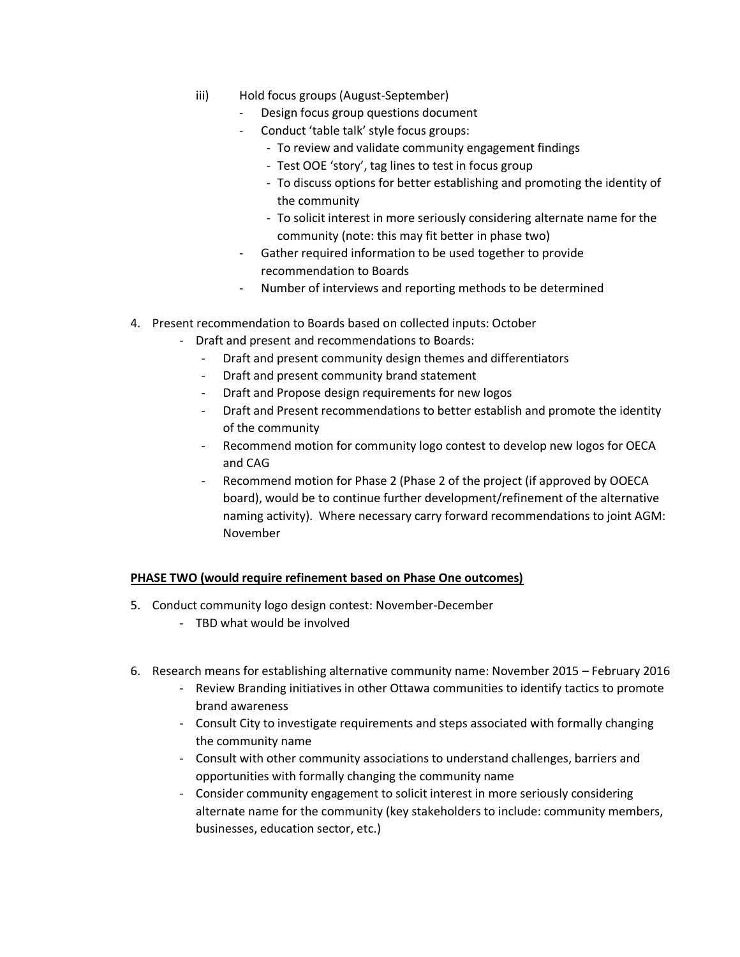- iii) Hold focus groups (August-September)
	- Design focus group questions document
	- Conduct 'table talk' style focus groups:
		- To review and validate community engagement findings
		- Test OOE 'story', tag lines to test in focus group
		- To discuss options for better establishing and promoting the identity of the community
		- To solicit interest in more seriously considering alternate name for the community (note: this may fit better in phase two)
	- Gather required information to be used together to provide recommendation to Boards
	- Number of interviews and reporting methods to be determined
- 4. Present recommendation to Boards based on collected inputs: October
	- Draft and present and recommendations to Boards:
		- Draft and present community design themes and differentiators
		- Draft and present community brand statement
		- Draft and Propose design requirements for new logos
		- Draft and Present recommendations to better establish and promote the identity of the community
		- Recommend motion for community logo contest to develop new logos for OECA and CAG
		- Recommend motion for Phase 2 (Phase 2 of the project (if approved by OOECA board), would be to continue further development/refinement of the alternative naming activity). Where necessary carry forward recommendations to joint AGM: November

#### **PHASE TWO (would require refinement based on Phase One outcomes)**

- 5. Conduct community logo design contest: November-December
	- TBD what would be involved
- 6. Research means for establishing alternative community name: November 2015 February 2016
	- Review Branding initiatives in other Ottawa communities to identify tactics to promote brand awareness
	- Consult City to investigate requirements and steps associated with formally changing the community name
	- Consult with other community associations to understand challenges, barriers and opportunities with formally changing the community name
	- Consider community engagement to solicit interest in more seriously considering alternate name for the community (key stakeholders to include: community members, businesses, education sector, etc.)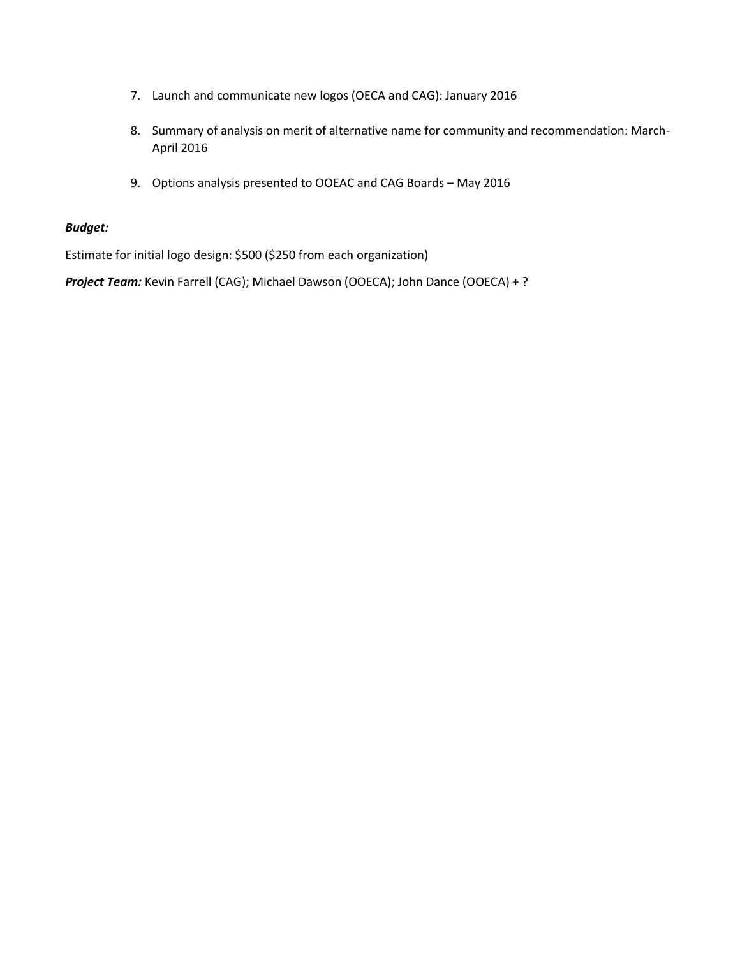- 7. Launch and communicate new logos (OECA and CAG): January 2016
- 8. Summary of analysis on merit of alternative name for community and recommendation: March-April 2016
- 9. Options analysis presented to OOEAC and CAG Boards May 2016

## *Budget:*

Estimate for initial logo design: \$500 (\$250 from each organization)

*Project Team:* Kevin Farrell (CAG); Michael Dawson (OOECA); John Dance (OOECA) + ?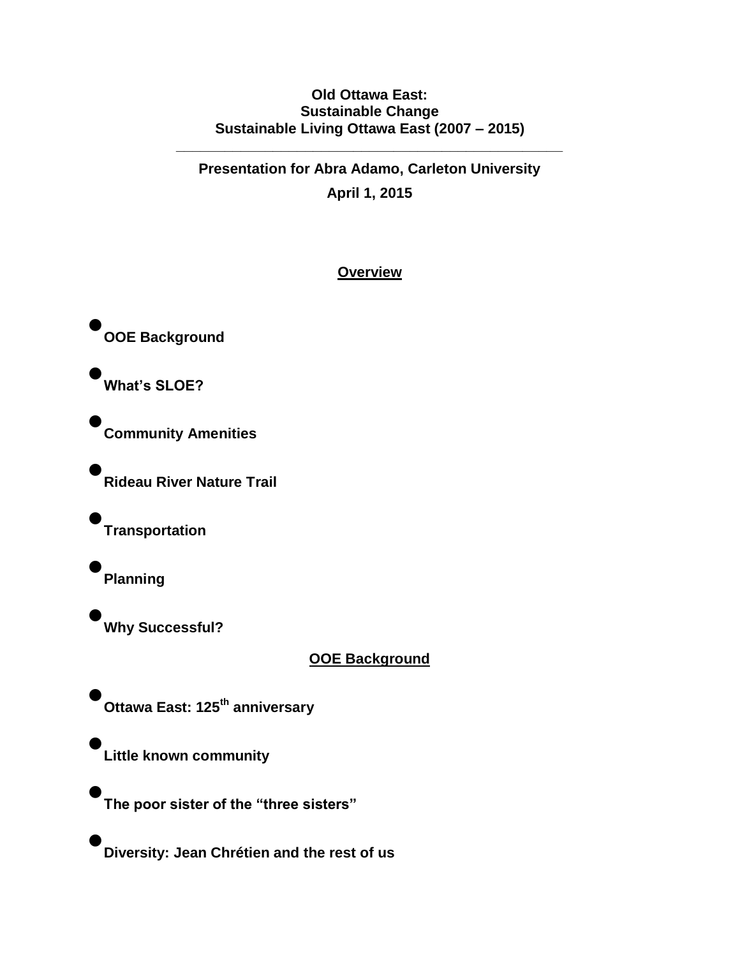# **Old Ottawa East: Sustainable Change Sustainable Living Ottawa East (2007 – 2015)**

**\_\_\_\_\_\_\_\_\_\_\_\_\_\_\_\_\_\_\_\_\_\_\_\_\_\_\_\_\_\_\_\_\_\_\_\_\_\_\_\_\_\_\_\_\_\_\_\_**

**Presentation for Abra Adamo, Carleton University April 1, 2015**

# **Overview**

• **OOE Background**

• **What's SLOE?**

• **Community Amenities**

**Rideau River Nature Trail**

• **Transportation**

• **Planning**

•

•

• **Why Successful?**

**OOE Background**

• **Ottawa East: 125th anniversary** 

**Little known community**

• **The poor sister of the "three sisters"**

• **Diversity: Jean Chrétien and the rest of us**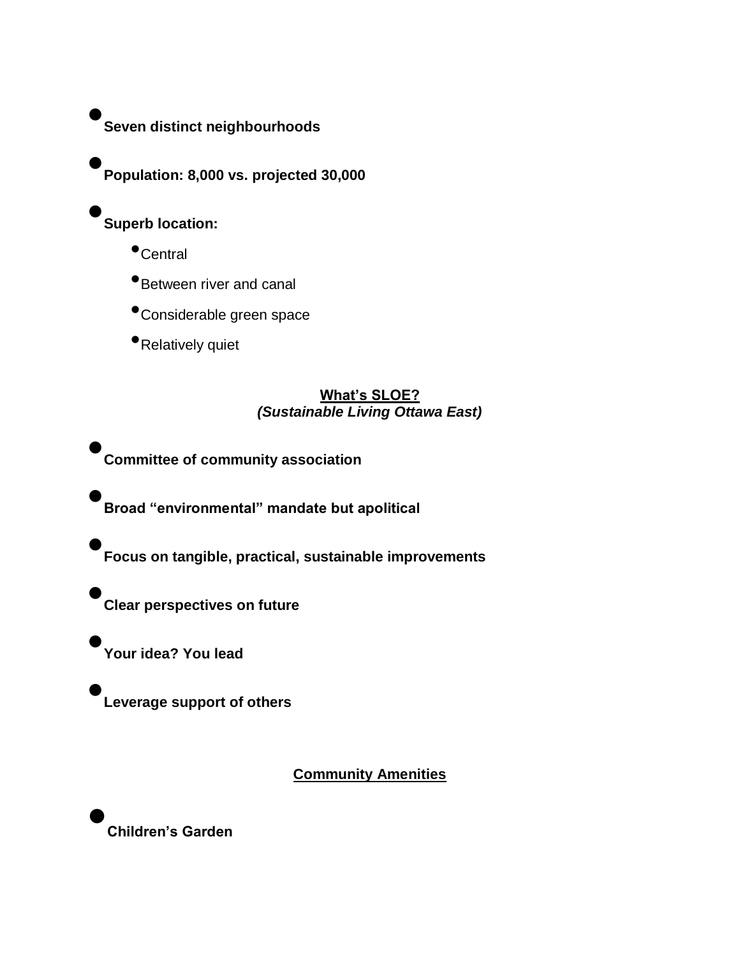• **Seven distinct neighbourhoods**

• **Population: 8,000 vs. projected 30,000**

• **Superb location:**

- •Central
- •Between river and canal
- •Considerable green space
- •Relatively quiet

# **What's SLOE?** *(Sustainable Living Ottawa East)*

• **Committee of community association**

• **Broad "environmental" mandate but apolitical**

• **Focus on tangible, practical, sustainable improvements**

• **Clear perspectives on future**

**Your idea? You lead**

•

•

**Leverage support of others**

**Community Amenities**

• **Children's Garden**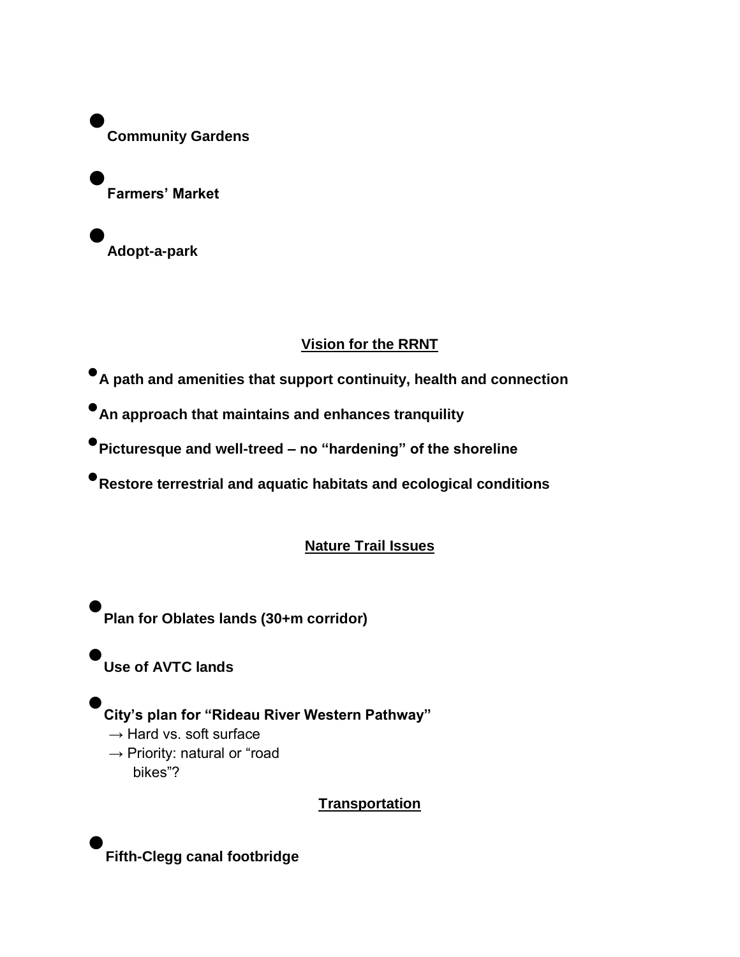• **Community Gardens**

• **Farmers' Market**

• **Adopt-a-park**

# **Vision for the RRNT**

•**A path and amenities that support continuity, health and connection**

•**An approach that maintains and enhances tranquility**

•**Picturesque and well-treed – no "hardening" of the shoreline**

•**Restore terrestrial and aquatic habitats and ecological conditions**

# **Nature Trail Issues**

• **Plan for Oblates lands (30+m corridor)**

• **Use of AVTC lands**

• **City's plan for "Rideau River Western Pathway"**  $\rightarrow$  Hard vs. soft surface  $\rightarrow$  Priority: natural or "road bikes"?

# **Transportation**

• **Fifth-Clegg canal footbridge**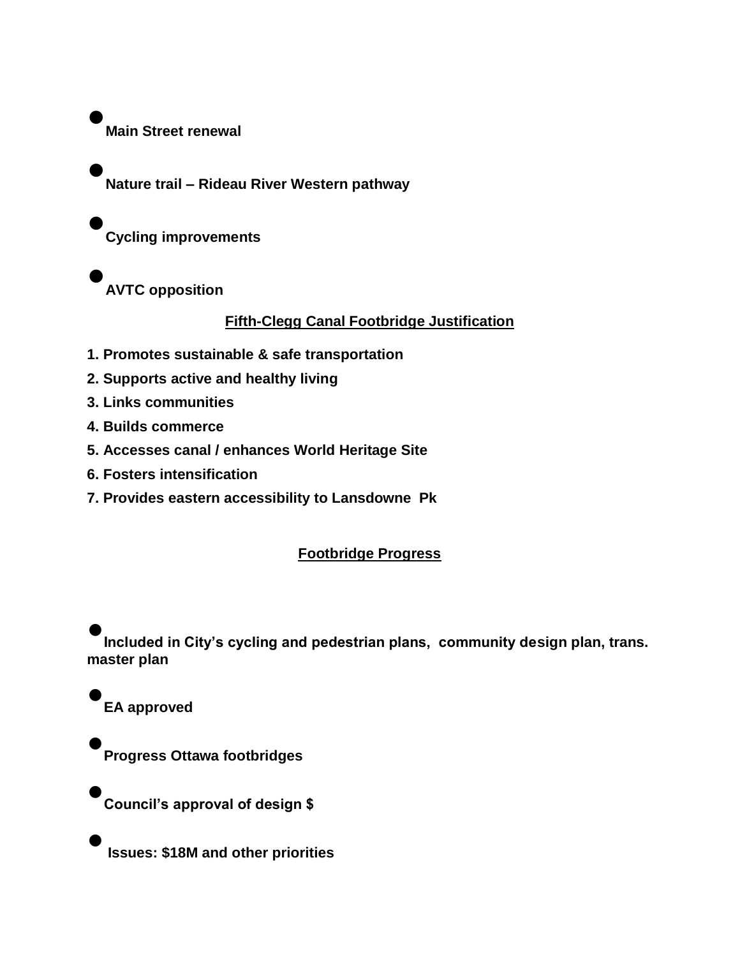• **Main Street renewal**

•

**Nature trail – Rideau River Western pathway**

• **Cycling improvements**

• **AVTC opposition**

# **Fifth-Clegg Canal Footbridge Justification**

- **1. Promotes sustainable & safe transportation**
- **2. Supports active and healthy living**
- **3. Links communities**
- **4. Builds commerce**
- **5. Accesses canal / enhances World Heritage Site**
- **6. Fosters intensification**
- **7. Provides eastern accessibility to Lansdowne Pk**

# **Footbridge Progress**

• **Included in City's cycling and pedestrian plans, community design plan, trans. master plan**

• **EA approved**

•

**Progress Ottawa footbridges**

•**Council's approval of design \$**

•**Issues: \$18M and other priorities**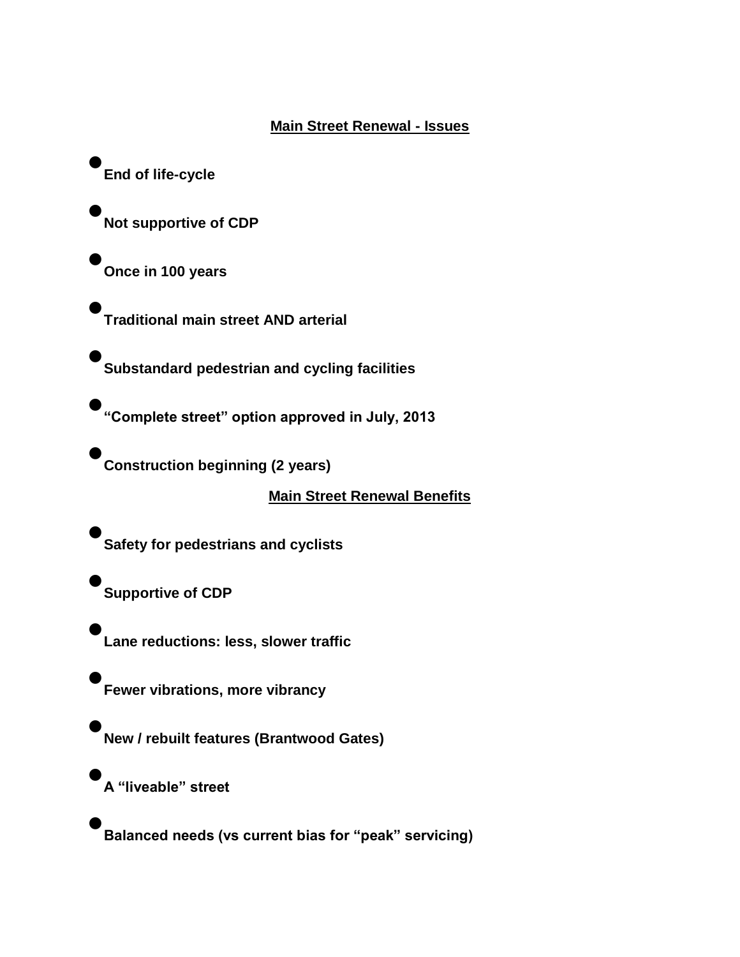# **Main Street Renewal - Issues**

• **End of life-cycle**

•

•

•

**Not supportive of CDP**

**Once in 100 years** 

**Traditional main street AND arterial**

• **Substandard pedestrian and cycling facilities**

• **"Complete street" option approved in July, 2013**

• **Construction beginning (2 years)**

**Main Street Renewal Benefits**

• **Safety for pedestrians and cyclists**

• **Supportive of CDP**

• **Lane reductions: less, slower traffic**

• **Fewer vibrations, more vibrancy**

• **New / rebuilt features (Brantwood Gates)**

• **A "liveable" street**

• **Balanced needs (vs current bias for "peak" servicing)**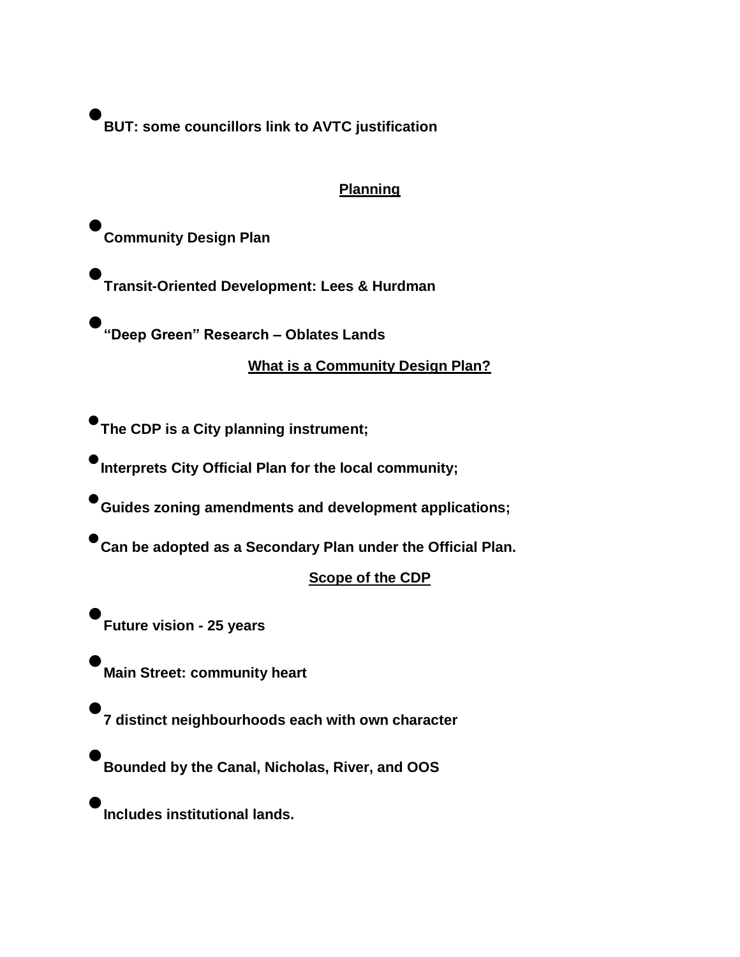• **BUT: some councillors link to AVTC justification**

# **Planning**

• **Community Design Plan**

•

•

• **Transit-Oriented Development: Lees & Hurdman**

**"Deep Green" Research – Oblates Lands**

**What is a Community Design Plan?**

•**The CDP is a City planning instrument;**

•**Interprets City Official Plan for the local community;**

•**Guides zoning amendments and development applications;**

•**Can be adopted as a Secondary Plan under the Official Plan.**

# **Scope of the CDP**

• **Future vision - 25 years**

**Main Street: community heart** 

• **7 distinct neighbourhoods each with own character**

• **Bounded by the Canal, Nicholas, River, and OOS**

• **Includes institutional lands.**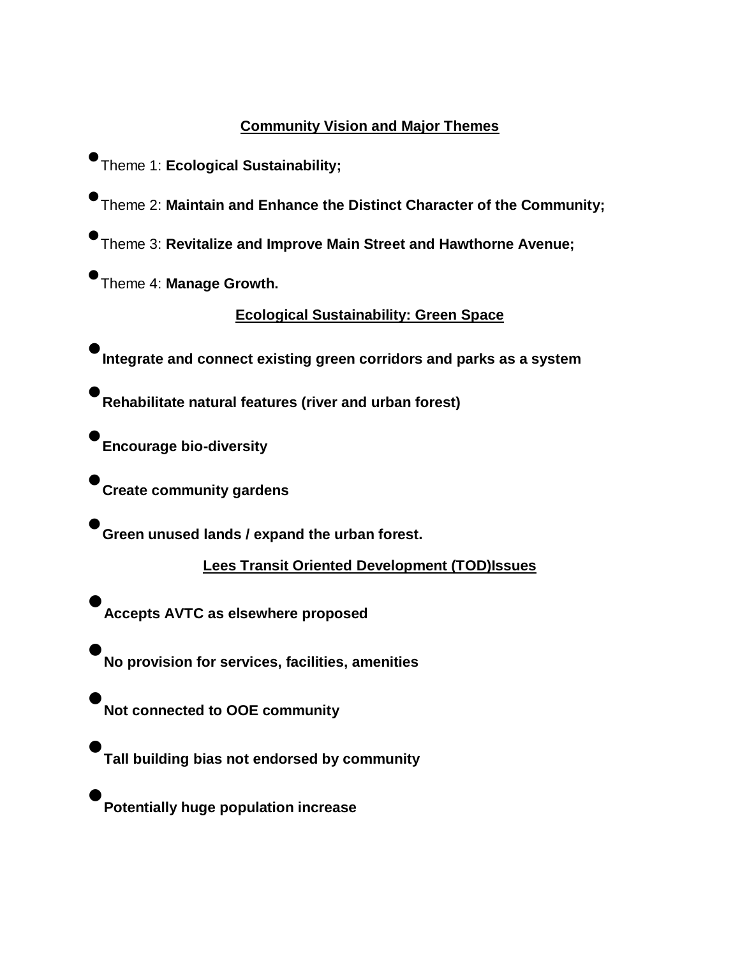# **Community Vision and Major Themes**

- •Theme 1: **Ecological Sustainability;**
- •Theme 2: **Maintain and Enhance the Distinct Character of the Community;**
- •Theme 3: **Revitalize and Improve Main Street and Hawthorne Avenue;**

•Theme 4: **Manage Growth.**

# **Ecological Sustainability: Green Space**

•**Integrate and connect existing green corridors and parks as a system**

•**Rehabilitate natural features (river and urban forest)**

•**Encourage bio-diversity**

•**Create community gardens**

•**Green unused lands / expand the urban forest.**

# **Lees Transit Oriented Development (TOD)Issues**

• **Accepts AVTC as elsewhere proposed**

• **No provision for services, facilities, amenities**

• **Not connected to OOE community**

• **Tall building bias not endorsed by community**

• **Potentially huge population increase**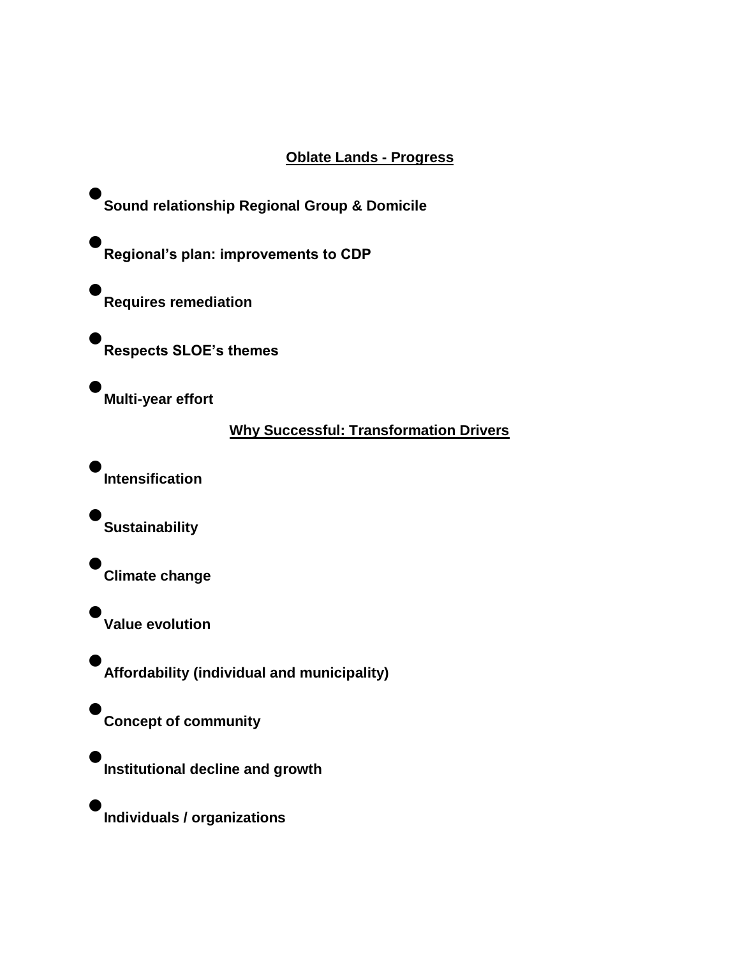# **Oblate Lands - Progress**

• **Sound relationship Regional Group & Domicile**

• **Regional's plan: improvements to CDP**

• **Requires remediation** 

• **Respects SLOE's themes**

• **Multi-year effort**

# **Why Successful: Transformation Drivers**

• **Intensification**

• **Sustainability**

• **Climate change**

• **Value evolution**

•

• **Affordability (individual and municipality)**

**Concept of community**

• **Institutional decline and growth**

• **Individuals / organizations**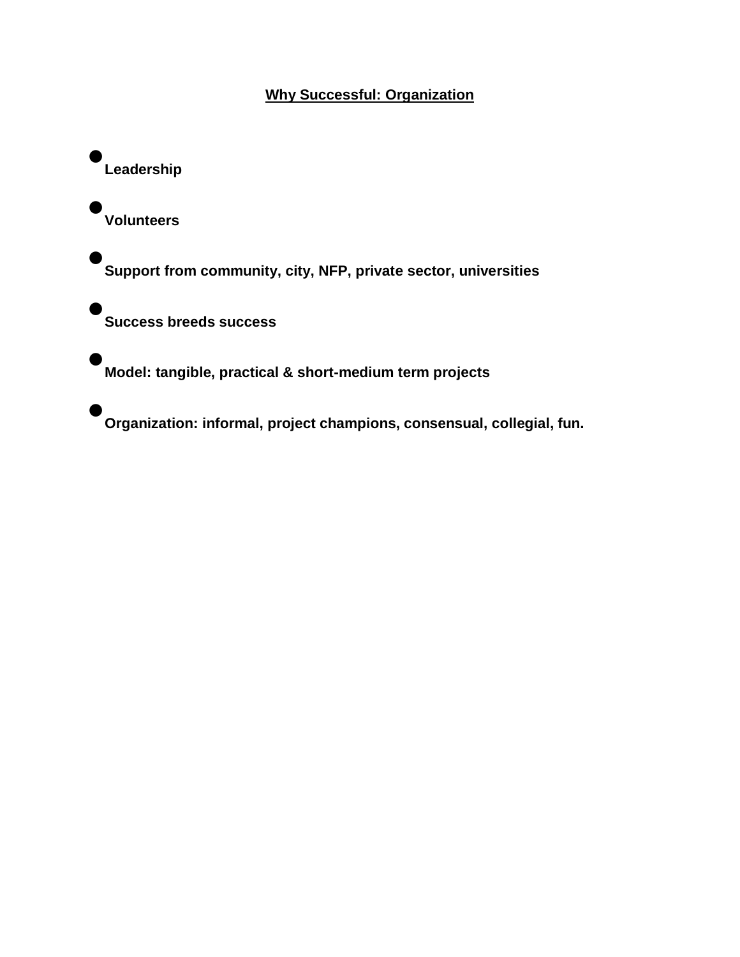# **Why Successful: Organization**

• **Leadership**

• **Volunteers**

•

• **Support from community, city, NFP, private sector, universities**

**Success breeds success**

• **Model: tangible, practical & short-medium term projects**

• **Organization: informal, project champions, consensual, collegial, fun.**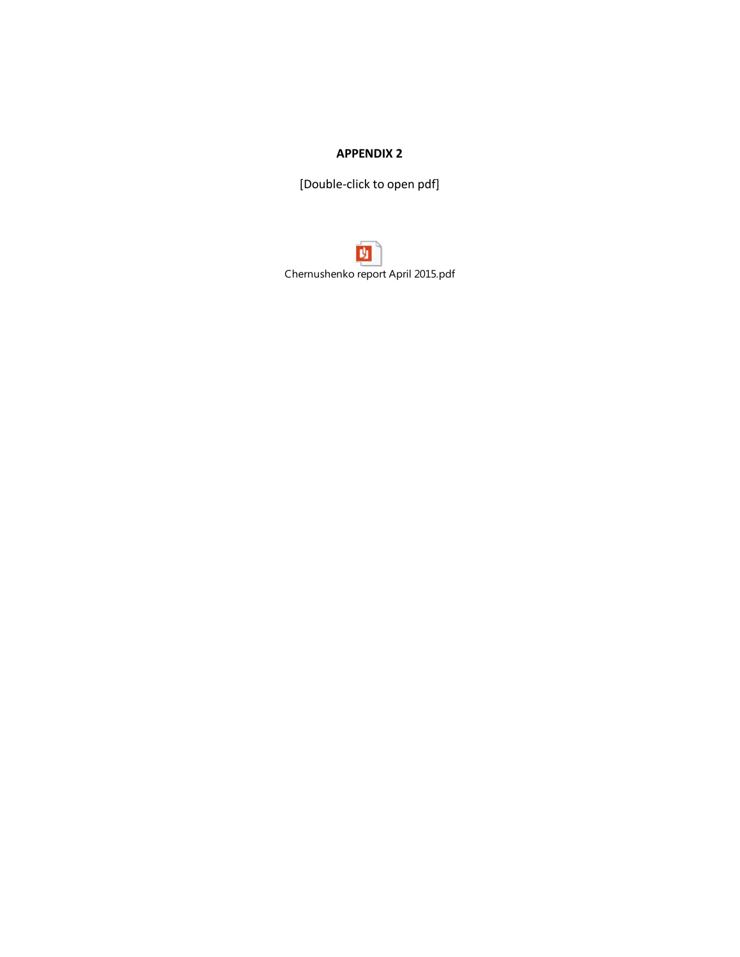[Double-click to open pdf]

内 Chernushenko report April 2015.pdf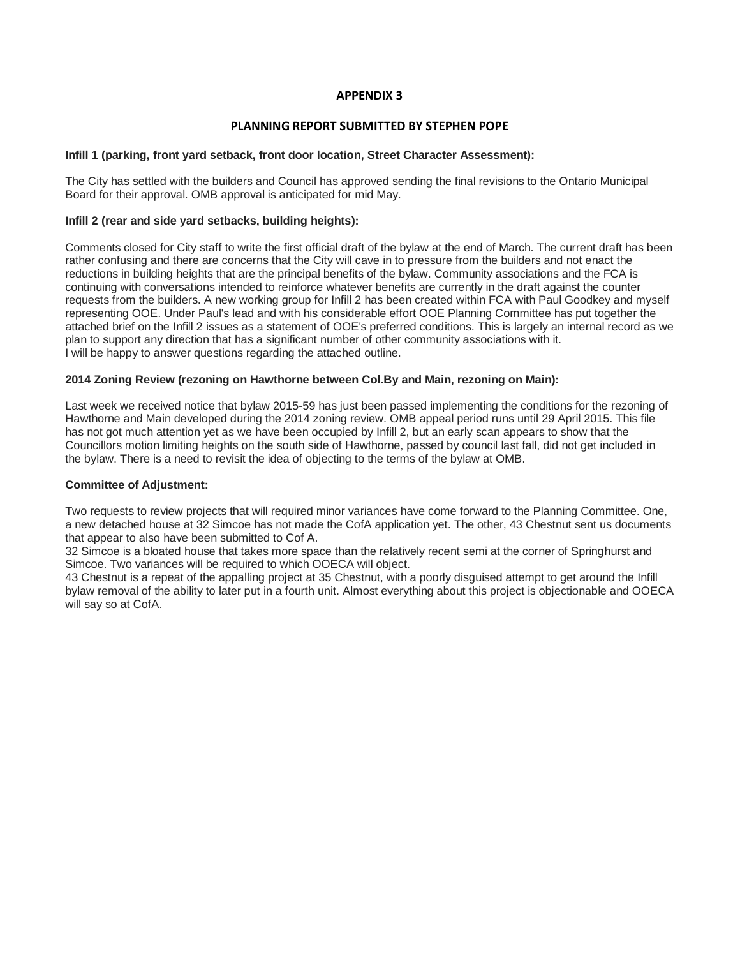#### **PLANNING REPORT SUBMITTED BY STEPHEN POPE**

#### **Infill 1 (parking, front yard setback, front door location, Street Character Assessment):**

The City has settled with the builders and Council has approved sending the final revisions to the Ontario Municipal Board for their approval. OMB approval is anticipated for mid May.

#### **Infill 2 (rear and side yard setbacks, building heights):**

Comments closed for City staff to write the first official draft of the bylaw at the end of March. The current draft has been rather confusing and there are concerns that the City will cave in to pressure from the builders and not enact the reductions in building heights that are the principal benefits of the bylaw. Community associations and the FCA is continuing with conversations intended to reinforce whatever benefits are currently in the draft against the counter requests from the builders. A new working group for Infill 2 has been created within FCA with Paul Goodkey and myself representing OOE. Under Paul's lead and with his considerable effort OOE Planning Committee has put together the attached brief on the Infill 2 issues as a statement of OOE's preferred conditions. This is largely an internal record as we plan to support any direction that has a significant number of other community associations with it. I will be happy to answer questions regarding the attached outline.

#### **2014 Zoning Review (rezoning on Hawthorne between Col.By and Main, rezoning on Main):**

Last week we received notice that bylaw 2015-59 has just been passed implementing the conditions for the rezoning of Hawthorne and Main developed during the 2014 zoning review. OMB appeal period runs until 29 April 2015. This file has not got much attention yet as we have been occupied by Infill 2, but an early scan appears to show that the Councillors motion limiting heights on the south side of Hawthorne, passed by council last fall, did not get included in the bylaw. There is a need to revisit the idea of objecting to the terms of the bylaw at OMB.

#### **Committee of Adjustment:**

Two requests to review projects that will required minor variances have come forward to the Planning Committee. One, a new detached house at 32 Simcoe has not made the CofA application yet. The other, 43 Chestnut sent us documents that appear to also have been submitted to Cof A.

32 Simcoe is a bloated house that takes more space than the relatively recent semi at the corner of Springhurst and Simcoe. Two variances will be required to which OOECA will object.

43 Chestnut is a repeat of the appalling project at 35 Chestnut, with a poorly disguised attempt to get around the Infill bylaw removal of the ability to later put in a fourth unit. Almost everything about this project is objectionable and OOECA will say so at CofA.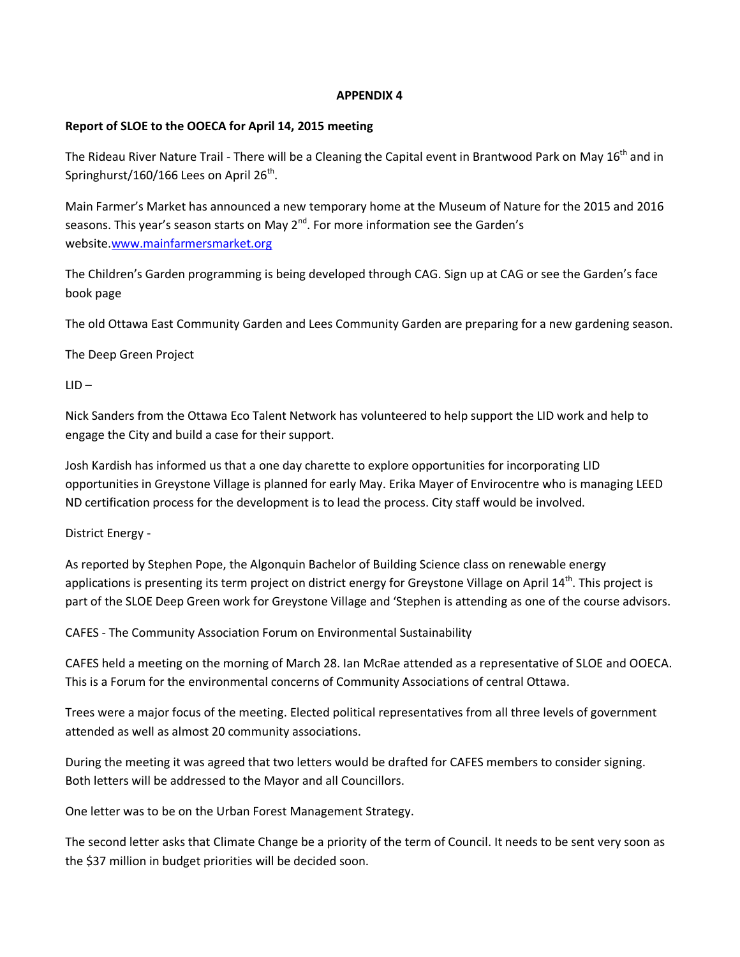### **Report of SLOE to the OOECA for April 14, 2015 meeting**

The Rideau River Nature Trail - There will be a Cleaning the Capital event in Brantwood Park on May 16<sup>th</sup> and in Springhurst/160/166 Lees on April 26 $^{\text{th}}$ .

Main Farmer's Market has announced a new temporary home at the Museum of Nature for the 2015 and 2016 seasons. This year's season starts on May  $2^{nd}$ . For more information see the Garden's website[.www.mainfarmersmarket.org](http://www.mainfarmersmarket.org/)

The Children's Garden programming is being developed through CAG. Sign up at CAG or see the Garden's face book page

The old Ottawa East Community Garden and Lees Community Garden are preparing for a new gardening season.

The Deep Green Project

 $LID -$ 

Nick Sanders from the Ottawa Eco Talent Network has volunteered to help support the LID work and help to engage the City and build a case for their support.

Josh Kardish has informed us that a one day charette to explore opportunities for incorporating LID opportunities in Greystone Village is planned for early May. Erika Mayer of Envirocentre who is managing LEED ND certification process for the development is to lead the process. City staff would be involved.

District Energy -

As reported by Stephen Pope, the Algonquin Bachelor of Building Science class on renewable energy applications is presenting its term project on district energy for Greystone Village on April 14<sup>th</sup>. This project is part of the SLOE Deep Green work for Greystone Village and 'Stephen is attending as one of the course advisors.

CAFES - The Community Association Forum on Environmental Sustainability

CAFES held a meeting on the morning of March 28. Ian McRae attended as a representative of SLOE and OOECA. This is a Forum for the environmental concerns of Community Associations of central Ottawa.

Trees were a major focus of the meeting. Elected political representatives from all three levels of government attended as well as almost 20 community associations.

During the meeting it was agreed that two letters would be drafted for CAFES members to consider signing. Both letters will be addressed to the Mayor and all Councillors.

One letter was to be on the Urban Forest Management Strategy.

The second letter asks that Climate Change be a priority of the term of Council. It needs to be sent very soon as the \$37 million in budget priorities will be decided soon.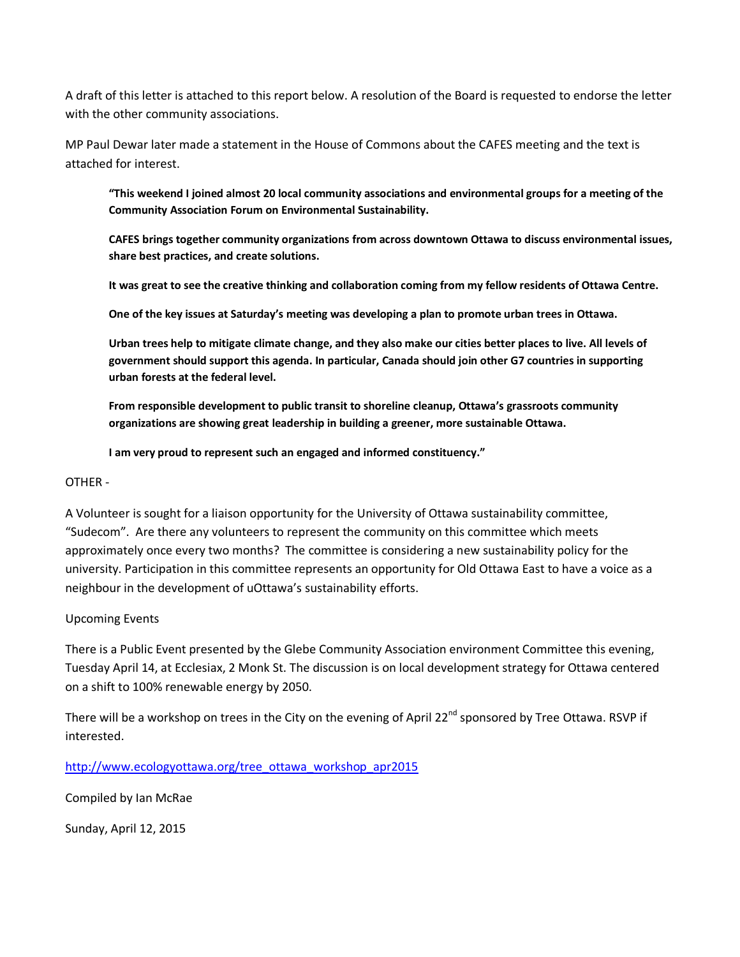A draft of this letter is attached to this report below. A resolution of the Board is requested to endorse the letter with the other community associations.

MP Paul Dewar later made a statement in the House of Commons about the CAFES meeting and the text is attached for interest.

**"This weekend I joined almost 20 local community associations and environmental groups for a meeting of the Community Association Forum on Environmental Sustainability.**

**CAFES brings together community organizations from across downtown Ottawa to discuss environmental issues, share best practices, and create solutions.** 

**It was great to see the creative thinking and collaboration coming from my fellow residents of Ottawa Centre.** 

**One of the key issues at Saturday's meeting was developing a plan to promote urban trees in Ottawa.** 

**Urban trees help to mitigate climate change, and they also make our cities better places to live. All levels of government should support this agenda. In particular, Canada should join other G7 countries in supporting urban forests at the federal level.**

**From responsible development to public transit to shoreline cleanup, Ottawa's grassroots community organizations are showing great leadership in building a greener, more sustainable Ottawa.**

**I am very proud to represent such an engaged and informed constituency."**

#### OTHER -

A Volunteer is sought for a liaison opportunity for the University of Ottawa sustainability committee, "Sudecom". Are there any volunteers to represent the community on this committee which meets approximately once every two months? The committee is considering a new sustainability policy for the university. Participation in this committee represents an opportunity for Old Ottawa East to have a voice as a neighbour in the development of uOttawa's sustainability efforts.

### Upcoming Events

There is a Public Event presented by the Glebe Community Association environment Committee this evening, Tuesday April 14, at Ecclesiax, 2 Monk St. The discussion is on local development strategy for Ottawa centered on a shift to 100% renewable energy by 2050.

There will be a workshop on trees in the City on the evening of April 22 $^{nd}$  sponsored by Tree Ottawa. RSVP if interested.

[http://www.ecologyottawa.org/tree\\_ottawa\\_workshop\\_apr2015](http://www.ecologyottawa.org/tree_ottawa_workshop_apr2015)

Compiled by Ian McRae

Sunday, April 12, 2015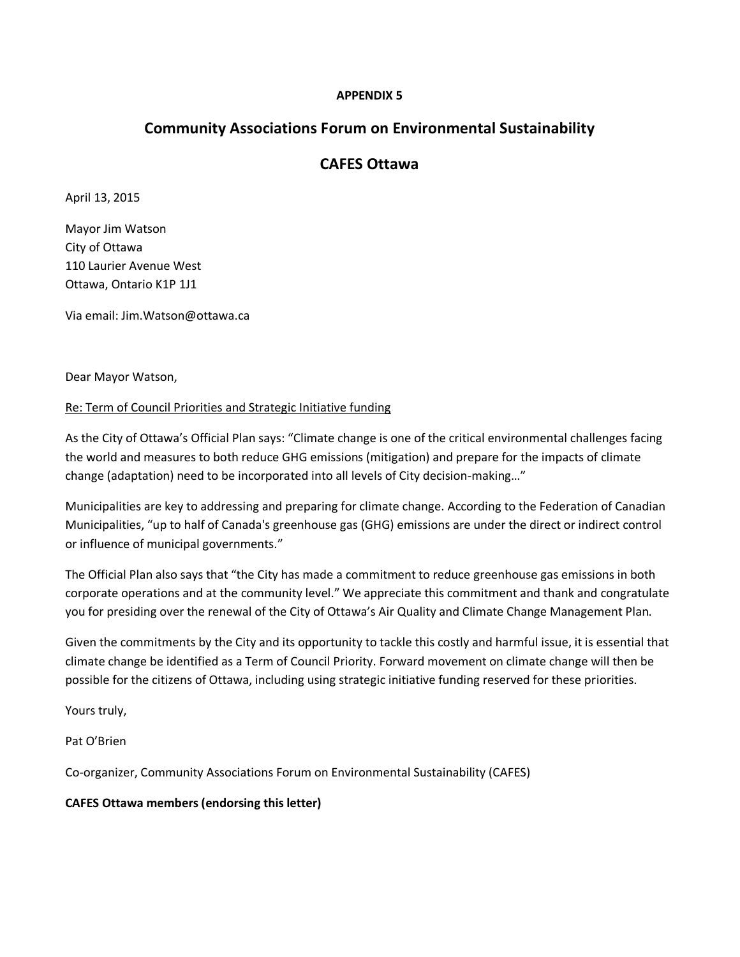# **Community Associations Forum on Environmental Sustainability**

# **CAFES Ottawa**

April 13, 2015

Mayor Jim Watson City of Ottawa 110 Laurier Avenue West Ottawa, Ontario K1P 1J1

Via email: Jim.Watson@ottawa.ca

Dear Mayor Watson,

### Re: Term of Council Priorities and Strategic Initiative funding

As the City of Ottawa's Official Plan says: "Climate change is one of the critical environmental challenges facing the world and measures to both reduce GHG emissions (mitigation) and prepare for the impacts of climate change (adaptation) need to be incorporated into all levels of City decision-making…"

Municipalities are key to addressing and preparing for climate change. According to the Federation of Canadian Municipalities, "up to half of Canada's greenhouse gas (GHG) emissions are under the direct or indirect control or influence of municipal governments."

The Official Plan also says that "the City has made a commitment to reduce greenhouse gas emissions in both corporate operations and at the community level." We appreciate this commitment and thank and congratulate you for presiding over the renewal of the City of Ottawa's Air Quality and Climate Change Management Plan.

Given the commitments by the City and its opportunity to tackle this costly and harmful issue, it is essential that climate change be identified as a Term of Council Priority. Forward movement on climate change will then be possible for the citizens of Ottawa, including using strategic initiative funding reserved for these priorities.

Yours truly,

Pat O'Brien

Co-organizer, Community Associations Forum on Environmental Sustainability (CAFES)

### **CAFES Ottawa members (endorsing this letter)**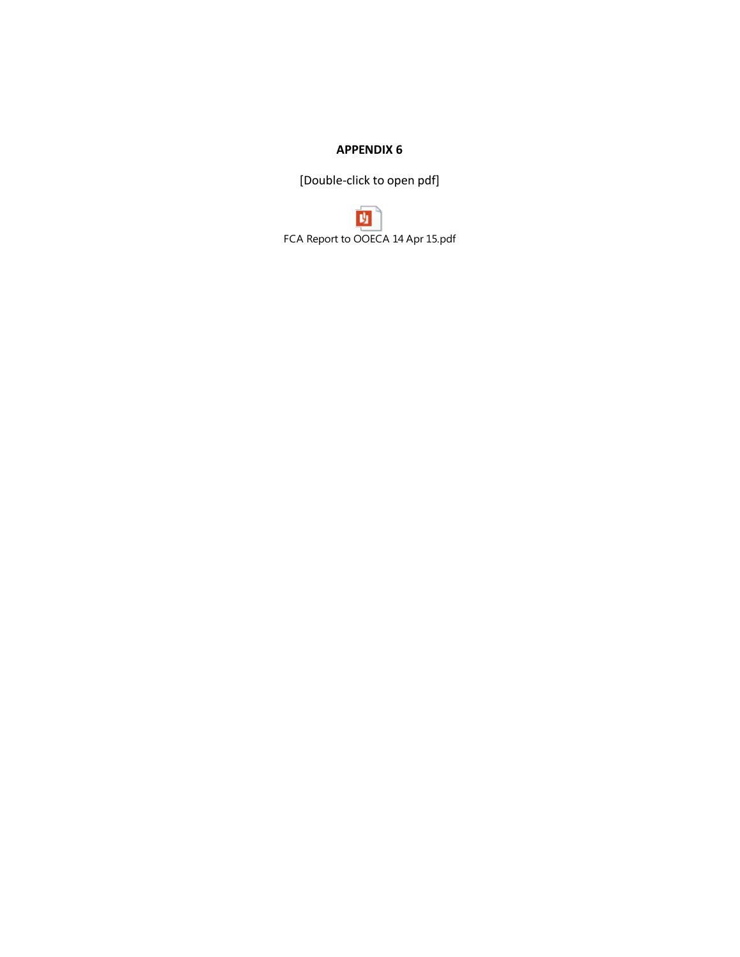[Double-click to open pdf]

班 FCA Report to OOECA 14 Apr 15.pdf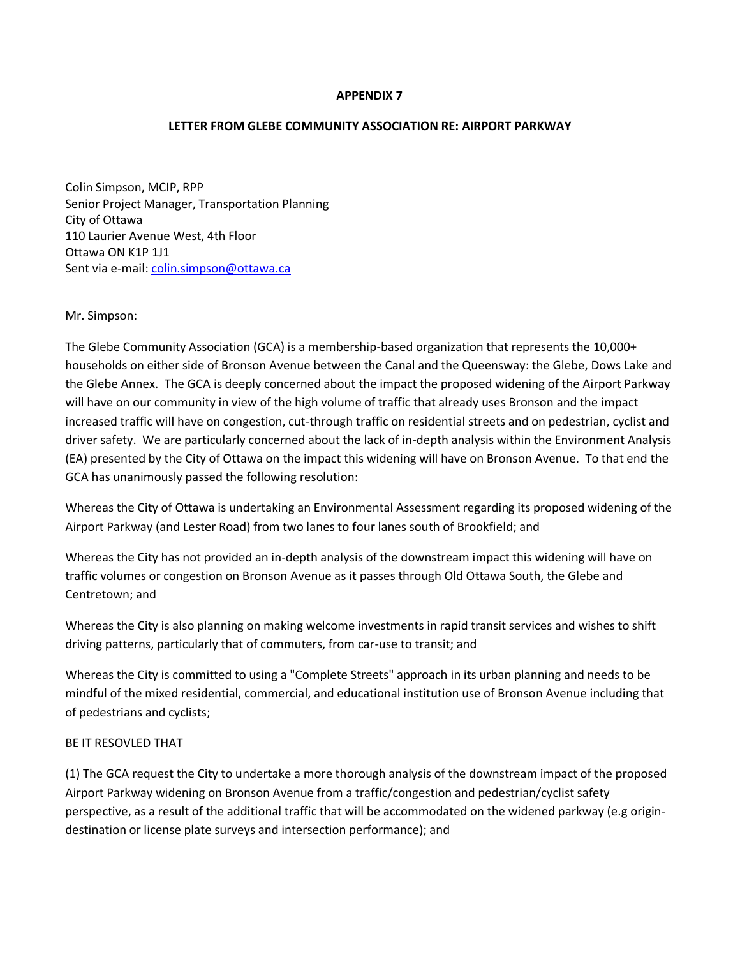#### **LETTER FROM GLEBE COMMUNITY ASSOCIATION RE: AIRPORT PARKWAY**

Colin Simpson, MCIP, RPP Senior Project Manager, Transportation Planning City of Ottawa 110 Laurier Avenue West, 4th Floor Ottawa ON K1P 1J1 Sent via e-mail: [colin.simpson@ottawa.ca](mailto:colin.simpson@ottawa.ca) 

#### Mr. Simpson:

The Glebe Community Association (GCA) is a membership-based organization that represents the 10,000+ households on either side of Bronson Avenue between the Canal and the Queensway: the Glebe, Dows Lake and the Glebe Annex. The GCA is deeply concerned about the impact the proposed widening of the Airport Parkway will have on our community in view of the high volume of traffic that already uses Bronson and the impact increased traffic will have on congestion, cut-through traffic on residential streets and on pedestrian, cyclist and driver safety. We are particularly concerned about the lack of in-depth analysis within the Environment Analysis (EA) presented by the City of Ottawa on the impact this widening will have on Bronson Avenue. To that end the GCA has unanimously passed the following resolution:

Whereas the City of Ottawa is undertaking an Environmental Assessment regarding its proposed widening of the Airport Parkway (and Lester Road) from two lanes to four lanes south of Brookfield; and

Whereas the City has not provided an in-depth analysis of the downstream impact this widening will have on traffic volumes or congestion on Bronson Avenue as it passes through Old Ottawa South, the Glebe and Centretown; and

Whereas the City is also planning on making welcome investments in rapid transit services and wishes to shift driving patterns, particularly that of commuters, from car-use to transit; and

Whereas the City is committed to using a "Complete Streets" approach in its urban planning and needs to be mindful of the mixed residential, commercial, and educational institution use of Bronson Avenue including that of pedestrians and cyclists;

#### BE IT RESOVLED THAT

(1) The GCA request the City to undertake a more thorough analysis of the downstream impact of the proposed Airport Parkway widening on Bronson Avenue from a traffic/congestion and pedestrian/cyclist safety perspective, as a result of the additional traffic that will be accommodated on the widened parkway (e.g origindestination or license plate surveys and intersection performance); and